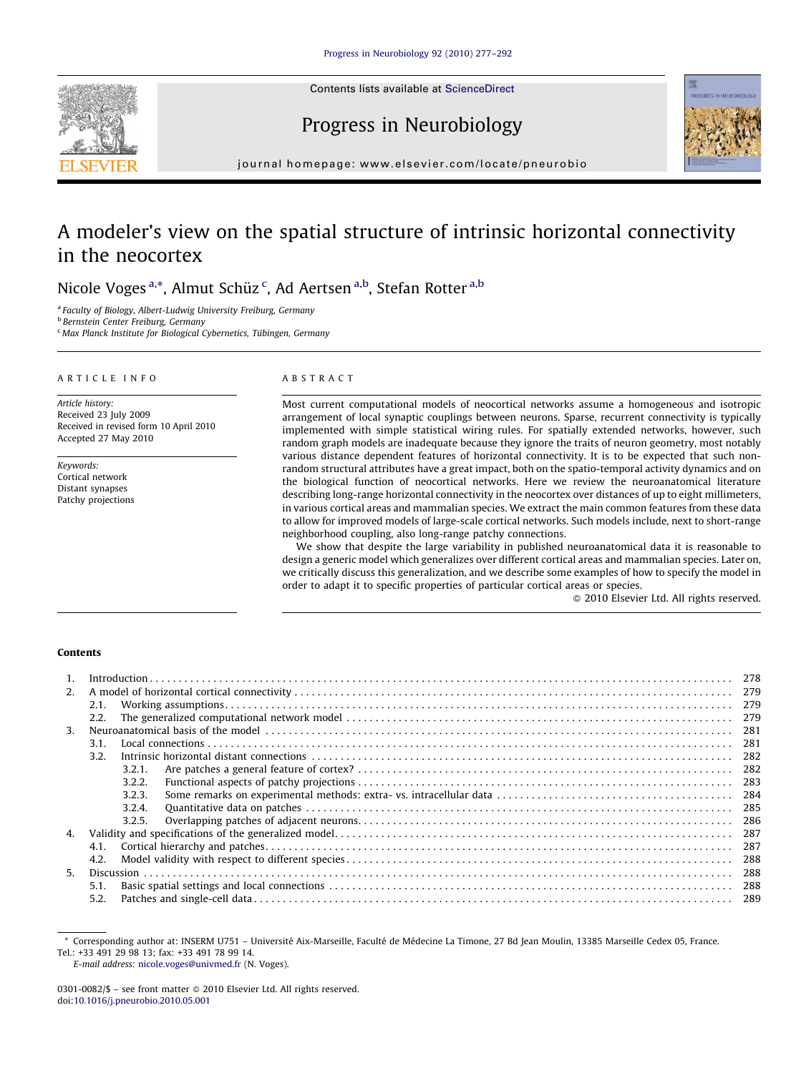

Contents lists available at [ScienceDirect](http://www.sciencedirect.com/science/journal/03010082)

Progress in Neurobiology



journal homepage: www.elsevier.com/locate/pneurobio

# A modeler's view on the spatial structure of intrinsic horizontal connectivity in the neocortex

Nicole Voges <sup>a,\*</sup>, Almut Schüz <sup>c</sup>, Ad Aertsen <sup>a,b</sup>, Stefan Rotter <sup>a,b</sup>

<sup>a</sup> Faculty of Biology, Albert-Ludwig University Freiburg, Germany

<sup>b</sup> Bernstein Center Freiburg, Germany

 $c$  Max Planck Institute for Biological Cybernetics, Tübingen, Germany

# ARTICLE INFO

Article history: Received 23 July 2009 Received in revised form 10 April 2010 Accepted 27 May 2010

Keywords: Cortical network Distant synapses Patchy projections

# ABSTRACT

Most current computational models of neocortical networks assume a homogeneous and isotropic arrangement of local synaptic couplings between neurons. Sparse, recurrent connectivity is typically implemented with simple statistical wiring rules. For spatially extended networks, however, such random graph models are inadequate because they ignore the traits of neuron geometry, most notably various distance dependent features of horizontal connectivity. It is to be expected that such nonrandom structural attributes have a great impact, both on the spatio-temporal activity dynamics and on the biological function of neocortical networks. Here we review the neuroanatomical literature describing long-range horizontal connectivity in the neocortex over distances of up to eight millimeters, in various cortical areas and mammalian species. We extract the main common features from these data to allow for improved models of large-scale cortical networks. Such models include, next to short-range neighborhood coupling, also long-range patchy connections.

We show that despite the large variability in published neuroanatomical data it is reasonable to design a generic model which generalizes over different cortical areas and mammalian species. Later on, we critically discuss this generalization, and we describe some examples of how to specify the model in order to adapt it to specific properties of particular cortical areas or species.

- 2010 Elsevier Ltd. All rights reserved.

# Contents

| $\mathbf{1}$ . |      |        | $Introduction \dots 1278$ |      |
|----------------|------|--------|---------------------------|------|
| 2.             |      |        |                           |      |
|                | 2.1. |        |                           | 279  |
|                | 2.2. |        |                           |      |
| 3.             |      |        |                           | 281  |
|                | 3.1. |        |                           | 281  |
|                | 3.2. |        |                           | -282 |
|                |      | 3.2.1. |                           | -282 |
|                |      | 3.2.2. |                           |      |
|                |      | 3.2.3. |                           |      |
|                |      | 3.2.4. |                           |      |
|                |      | 3.2.5. |                           | 286  |
| 4.             |      |        |                           | 287  |
|                | 4.1. |        |                           | 287  |
|                | 4.2. |        |                           |      |
| 5.             |      |        |                           | 288  |
|                | 5.1. |        |                           | 288  |
|                | 5.2. |        |                           | 289  |

E-mail address: [nicole.voges@univmed.fr](mailto:nicole.voges@univmed.fr) (N. Voges).

Corresponding author at: INSERM U751 – Université Aix-Marseille, Faculté de Médecine La Timone, 27 Bd Jean Moulin, 13385 Marseille Cedex 05, France. Tel.: +33 491 29 98 13; fax: +33 491 78 99 14.

<sup>0301-0082/\$ –</sup> see front matter © 2010 Elsevier Ltd. All rights reserved. doi:[10.1016/j.pneurobio.2010.05.001](http://dx.doi.org/10.1016/j.pneurobio.2010.05.001)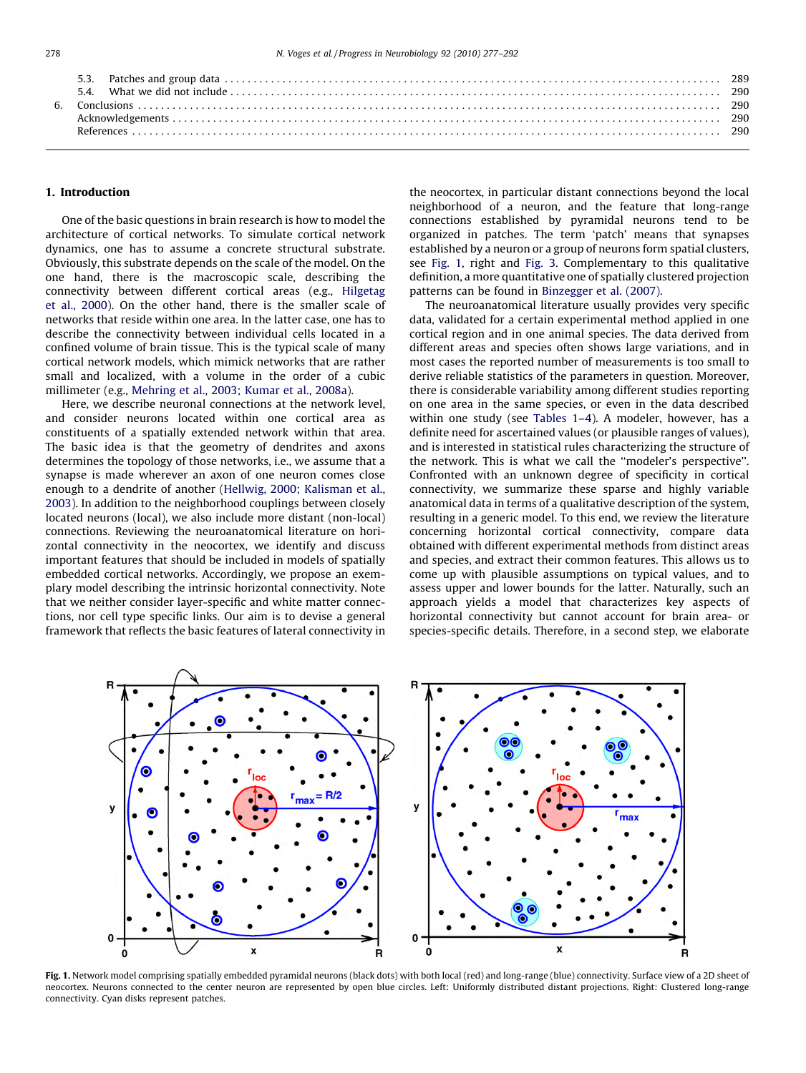<span id="page-1-0"></span>

## 1. Introduction

One of the basic questions in brain research is how to model the architecture of cortical networks. To simulate cortical network dynamics, one has to assume a concrete structural substrate. Obviously, this substrate depends on the scale of the model. On the one hand, there is the macroscopic scale, describing the connectivity between different cortical areas (e.g., [Hilgetag](#page-14-0) [et al., 2000](#page-14-0)). On the other hand, there is the smaller scale of networks that reside within one area. In the latter case, one has to describe the connectivity between individual cells located in a confined volume of brain tissue. This is the typical scale of many cortical network models, which mimick networks that are rather small and localized, with a volume in the order of a cubic millimeter (e.g., [Mehring et al., 2003; Kumar et al., 2008a\)](#page-15-0).

Here, we describe neuronal connections at the network level, and consider neurons located within one cortical area as constituents of a spatially extended network within that area. The basic idea is that the geometry of dendrites and axons determines the topology of those networks, i.e., we assume that a synapse is made wherever an axon of one neuron comes close enough to a dendrite of another [\(Hellwig, 2000; Kalisman et al.,](#page-14-0) [2003\)](#page-14-0). In addition to the neighborhood couplings between closely located neurons (local), we also include more distant (non-local) connections. Reviewing the neuroanatomical literature on horizontal connectivity in the neocortex, we identify and discuss important features that should be included in models of spatially embedded cortical networks. Accordingly, we propose an exemplary model describing the intrinsic horizontal connectivity. Note that we neither consider layer-specific and white matter connections, nor cell type specific links. Our aim is to devise a general framework that reflects the basic features of lateral connectivity in the neocortex, in particular distant connections beyond the local neighborhood of a neuron, and the feature that long-range connections established by pyramidal neurons tend to be organized in patches. The term 'patch' means that synapses established by a neuron or a group of neurons form spatial clusters, see Fig. 1, right and [Fig. 3.](#page-8-0) Complementary to this qualitative definition, a more quantitative one of spatially clustered projection patterns can be found in [Binzegger et al. \(2007\).](#page-14-0)

The neuroanatomical literature usually provides very specific data, validated for a certain experimental method applied in one cortical region and in one animal species. The data derived from different areas and species often shows large variations, and in most cases the reported number of measurements is too small to derive reliable statistics of the parameters in question. Moreover, there is considerable variability among different studies reporting on one area in the same species, or even in the data described within one study (see [Tables 1–4](#page-3-0)). A modeler, however, has a definite need for ascertained values (or plausible ranges of values), and is interested in statistical rules characterizing the structure of the network. This is what we call the ''modeler's perspective''. Confronted with an unknown degree of specificity in cortical connectivity, we summarize these sparse and highly variable anatomical data in terms of a qualitative description of the system, resulting in a generic model. To this end, we review the literature concerning horizontal cortical connectivity, compare data obtained with different experimental methods from distinct areas and species, and extract their common features. This allows us to come up with plausible assumptions on typical values, and to assess upper and lower bounds for the latter. Naturally, such an approach yields a model that characterizes key aspects of horizontal connectivity but cannot account for brain area- or species-specific details. Therefore, in a second step, we elaborate



Fig. 1. Network model comprising spatially embedded pyramidal neurons (black dots) with both local (red) and long-range (blue) connectivity. Surface view of a 2D sheet of neocortex. Neurons connected to the center neuron are represented by open blue circles. Left: Uniformly distributed distant projections. Right: Clustered long-range connectivity. Cyan disks represent patches.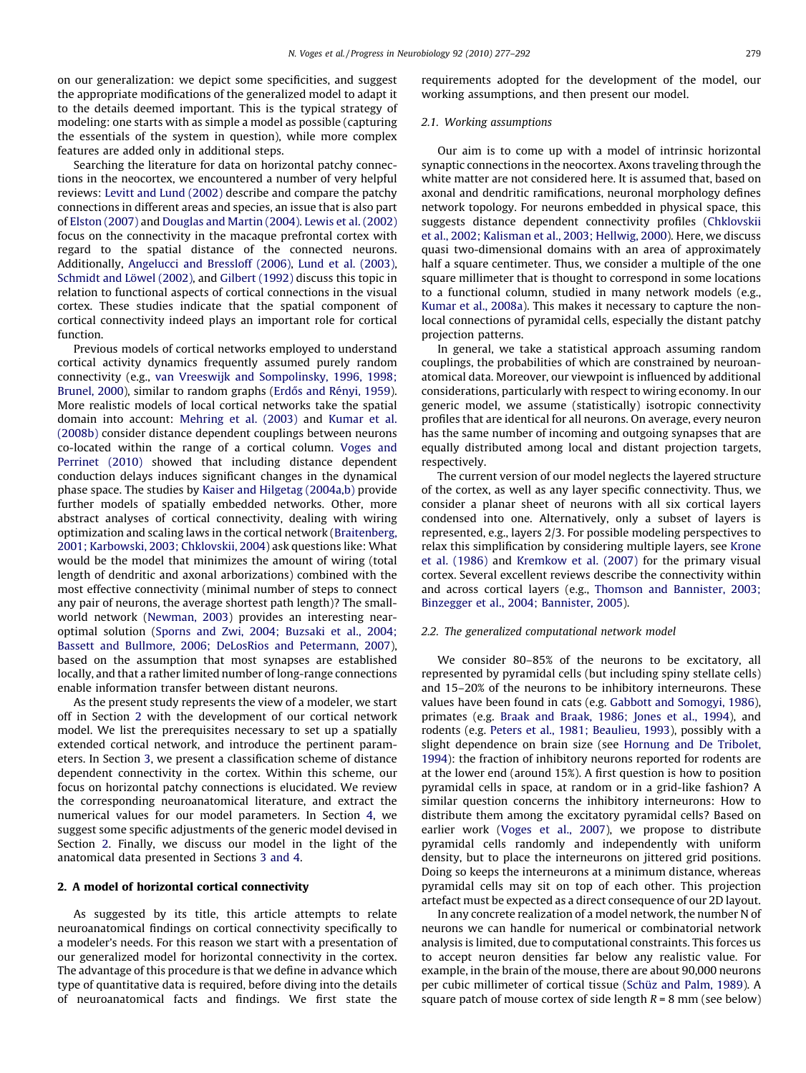<span id="page-2-0"></span>on our generalization: we depict some specificities, and suggest the appropriate modifications of the generalized model to adapt it to the details deemed important. This is the typical strategy of modeling: one starts with as simple a model as possible (capturing the essentials of the system in question), while more complex features are added only in additional steps.

Searching the literature for data on horizontal patchy connections in the neocortex, we encountered a number of very helpful reviews: [Levitt and Lund \(2002\)](#page-14-0) describe and compare the patchy connections in different areas and species, an issue that is also part of [Elston \(2007\)](#page-14-0) and [Douglas and Martin \(2004\)](#page-14-0). [Lewis et al. \(2002\)](#page-14-0) focus on the connectivity in the macaque prefrontal cortex with regard to the spatial distance of the connected neurons. Additionally, [Angelucci and Bressloff \(2006\),](#page-13-0) [Lund et al. \(2003\),](#page-15-0) Schmidt and Löwel (2002), and [Gilbert \(1992\)](#page-14-0) discuss this topic in relation to functional aspects of cortical connections in the visual cortex. These studies indicate that the spatial component of cortical connectivity indeed plays an important role for cortical function.

Previous models of cortical networks employed to understand cortical activity dynamics frequently assumed purely random connectivity (e.g., [van Vreeswijk and Sompolinsky, 1996, 1998;](#page-15-0) [Brunel, 2000](#page-15-0)), similar to random graphs (Erdős and Rényi, 1959). More realistic models of local cortical networks take the spatial domain into account: [Mehring et al. \(2003\)](#page-15-0) and [Kumar et al.](#page-14-0) [\(2008b\)](#page-14-0) consider distance dependent couplings between neurons co-located within the range of a cortical column. [Voges and](#page-15-0) [Perrinet \(2010\)](#page-15-0) showed that including distance dependent conduction delays induces significant changes in the dynamical phase space. The studies by [Kaiser and Hilgetag \(2004a,b\)](#page-14-0) provide further models of spatially embedded networks. Other, more abstract analyses of cortical connectivity, dealing with wiring optimization and scaling laws in the cortical network [\(Braitenberg,](#page-14-0) [2001; Karbowski, 2003; Chklovskii, 2004](#page-14-0)) ask questions like: What would be the model that minimizes the amount of wiring (total length of dendritic and axonal arborizations) combined with the most effective connectivity (minimal number of steps to connect any pair of neurons, the average shortest path length)? The smallworld network [\(Newman, 2003](#page-15-0)) provides an interesting nearoptimal solution [\(Sporns and Zwi, 2004; Buzsaki et al., 2004;](#page-15-0) [Bassett and Bullmore, 2006; DeLosRios and Petermann, 2007\)](#page-15-0), based on the assumption that most synapses are established locally, and that a rather limited number of long-range connections enable information transfer between distant neurons.

As the present study represents the view of a modeler, we start off in Section 2 with the development of our cortical network model. We list the prerequisites necessary to set up a spatially extended cortical network, and introduce the pertinent parameters. In Section [3](#page-4-0), we present a classification scheme of distance dependent connectivity in the cortex. Within this scheme, our focus on horizontal patchy connections is elucidated. We review the corresponding neuroanatomical literature, and extract the numerical values for our model parameters. In Section [4,](#page-10-0) we suggest some specific adjustments of the generic model devised in Section 2. Finally, we discuss our model in the light of the anatomical data presented in Sections [3 and 4.](#page-4-0)

## 2. A model of horizontal cortical connectivity

As suggested by its title, this article attempts to relate neuroanatomical findings on cortical connectivity specifically to a modeler's needs. For this reason we start with a presentation of our generalized model for horizontal connectivity in the cortex. The advantage of this procedure is that we define in advance which type of quantitative data is required, before diving into the details of neuroanatomical facts and findings. We first state the

requirements adopted for the development of the model, our working assumptions, and then present our model.

# 2.1. Working assumptions

Our aim is to come up with a model of intrinsic horizontal synaptic connections in the neocortex. Axons traveling through the white matter are not considered here. It is assumed that, based on axonal and dendritic ramifications, neuronal morphology defines network topology. For neurons embedded in physical space, this suggests distance dependent connectivity profiles [\(Chklovskii](#page-14-0) [et al., 2002; Kalisman et al., 2003; Hellwig, 2000\)](#page-14-0). Here, we discuss quasi two-dimensional domains with an area of approximately half a square centimeter. Thus, we consider a multiple of the one square millimeter that is thought to correspond in some locations to a functional column, studied in many network models (e.g., [Kumar et al., 2008a](#page-14-0)). This makes it necessary to capture the nonlocal connections of pyramidal cells, especially the distant patchy projection patterns.

In general, we take a statistical approach assuming random couplings, the probabilities of which are constrained by neuroanatomical data. Moreover, our viewpoint is influenced by additional considerations, particularly with respect to wiring economy. In our generic model, we assume (statistically) isotropic connectivity profiles that are identical for all neurons. On average, every neuron has the same number of incoming and outgoing synapses that are equally distributed among local and distant projection targets, respectively.

The current version of our model neglects the layered structure of the cortex, as well as any layer specific connectivity. Thus, we consider a planar sheet of neurons with all six cortical layers condensed into one. Alternatively, only a subset of layers is represented, e.g., layers 2/3. For possible modeling perspectives to relax this simplification by considering multiple layers, see [Krone](#page-14-0) [et al. \(1986\)](#page-14-0) and [Kremkow et al. \(2007\)](#page-14-0) for the primary visual cortex. Several excellent reviews describe the connectivity within and across cortical layers (e.g., [Thomson and Bannister, 2003;](#page-15-0) [Binzegger et al., 2004; Bannister, 2005](#page-15-0)).

#### 2.2. The generalized computational network model

We consider 80–85% of the neurons to be excitatory, all represented by pyramidal cells (but including spiny stellate cells) and 15–20% of the neurons to be inhibitory interneurons. These values have been found in cats (e.g. [Gabbott and Somogyi, 1986\)](#page-14-0), primates (e.g. [Braak and Braak, 1986; Jones et al., 1994](#page-14-0)), and rodents (e.g. [Peters et al., 1981; Beaulieu, 1993](#page-15-0)), possibly with a slight dependence on brain size (see [Hornung and De Tribolet,](#page-14-0) [1994\)](#page-14-0): the fraction of inhibitory neurons reported for rodents are at the lower end (around 15%). A first question is how to position pyramidal cells in space, at random or in a grid-like fashion? A similar question concerns the inhibitory interneurons: How to distribute them among the excitatory pyramidal cells? Based on earlier work [\(Voges et al., 2007\)](#page-15-0), we propose to distribute pyramidal cells randomly and independently with uniform density, but to place the interneurons on jittered grid positions. Doing so keeps the interneurons at a minimum distance, whereas pyramidal cells may sit on top of each other. This projection artefact must be expected as a direct consequence of our 2D layout.

In any concrete realization of a model network, the number N of neurons we can handle for numerical or combinatorial network analysis is limited, due to computational constraints. This forces us to accept neuron densities far below any realistic value. For example, in the brain of the mouse, there are about 90,000 neurons per cubic millimeter of cortical tissue (Schü[z and Palm, 1989](#page-15-0)). A square patch of mouse cortex of side length  $R = 8$  mm (see below)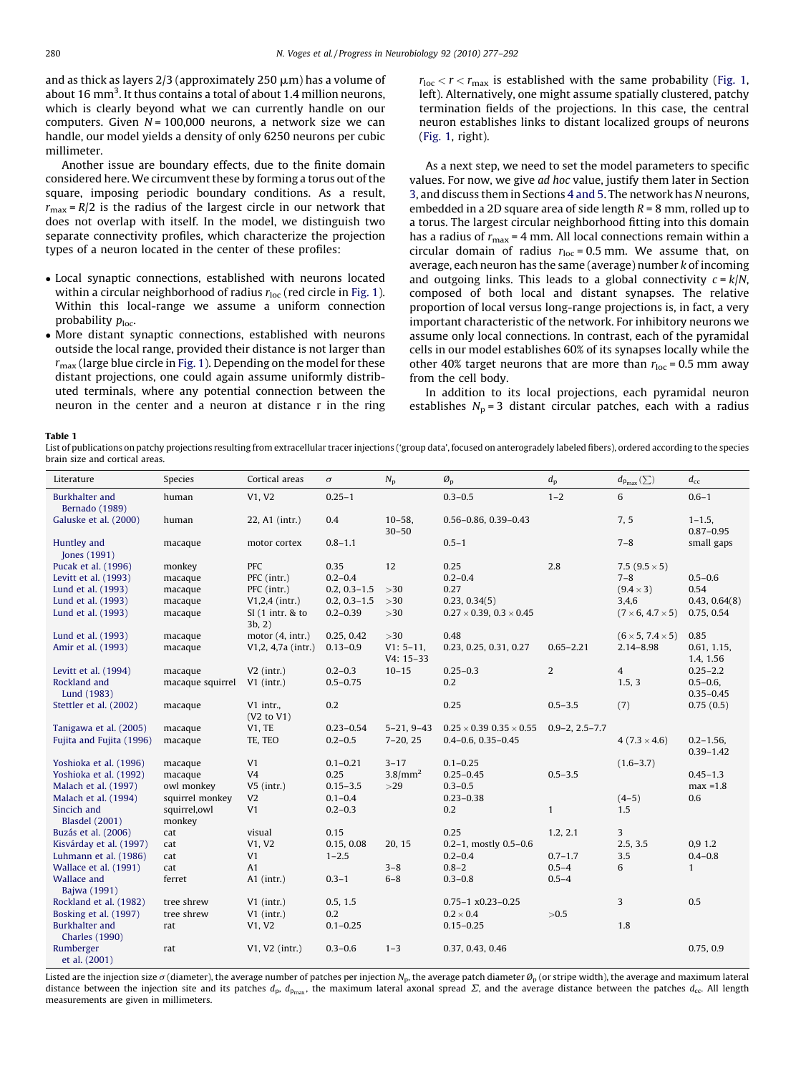<span id="page-3-0"></span>and as thick as layers  $2/3$  (approximately  $250 \mu m$ ) has a volume of about 16 mm<sup>3</sup>. It thus contains a total of about 1.4 million neurons, which is clearly beyond what we can currently handle on our computers. Given  $N = 100,000$  neurons, a network size we can handle, our model yields a density of only 6250 neurons per cubic millimeter.

Another issue are boundary effects, due to the finite domain considered here. We circumvent these by forming a torus out of the square, imposing periodic boundary conditions. As a result,  $r_{\text{max}} = R/2$  is the radius of the largest circle in our network that does not overlap with itself. In the model, we distinguish two separate connectivity profiles, which characterize the projection types of a neuron located in the center of these profiles:

- Local synaptic connections, established with neurons located within a circular neighborhood of radius  $r_{\text{loc}}$  (red circle in [Fig. 1\)](#page-1-0). Within this local-range we assume a uniform connection probability  $p_{loc}$ .
- More distant synaptic connections, established with neurons outside the local range, provided their distance is not larger than  $r_{\text{max}}$  (large blue circle in [Fig. 1](#page-1-0)). Depending on the model for these distant projections, one could again assume uniformly distributed terminals, where any potential connection between the neuron in the center and a neuron at distance r in the ring

 $r_{\text{loc}} < r < r_{\text{max}}$  is established with the same probability [\(Fig. 1,](#page-1-0) left). Alternatively, one might assume spatially clustered, patchy termination fields of the projections. In this case, the central neuron establishes links to distant localized groups of neurons ([Fig. 1,](#page-1-0) right).

As a next step, we need to set the model parameters to specific values. For now, we give ad hoc value, justify them later in Section [3,](#page-4-0) and discuss them in Sections [4 and 5](#page-10-0). The network has N neurons, embedded in a 2D square area of side length  $R = 8$  mm, rolled up to a torus. The largest circular neighborhood fitting into this domain has a radius of  $r_{\text{max}}$  = 4 mm. All local connections remain within a circular domain of radius  $r_{loc} = 0.5$  mm. We assume that, on average, each neuron has the same (average) number k of incoming and outgoing links. This leads to a global connectivity  $c = k/N$ , composed of both local and distant synapses. The relative proportion of local versus long-range projections is, in fact, a very important characteristic of the network. For inhibitory neurons we assume only local connections. In contrast, each of the pyramidal cells in our model establishes 60% of its synapses locally while the other 40% target neurons that are more than  $r_{\text{loc}} = 0.5$  mm away from the cell body.

In addition to its local projections, each pyramidal neuron establishes  $N_p = 3$  distant circular patches, each with a radius

Table 1

List of publications on patchy projections resulting from extracellular tracer injections ('group data', focused on anterogradely labeled fibers), ordered according to the species brain size and cortical areas.

| Literature                                     | Species                 | Cortical areas              | $\sigma$         | $N_{\rm p}$                | $\mathcal{O}_p$                     | $d_{p}$              | $d_{p_{\max}}(\sum)$         | $d_{\rm cc}$                    |
|------------------------------------------------|-------------------------|-----------------------------|------------------|----------------------------|-------------------------------------|----------------------|------------------------------|---------------------------------|
| Burkhalter and<br>Bernado (1989)               | human                   | V1, V2                      | $0.25 - 1$       |                            | $0.3 - 0.5$                         | $1 - 2$              | 6                            | $0.6 - 1$                       |
| Galuske et al. (2000)                          | human                   | 22, A1 (intr.)              | 0.4              | $10 - 58$<br>$30 - 50$     | $0.56 - 0.86$ , $0.39 - 0.43$       |                      | 7, 5                         | $1 - 1.5$ ,<br>$0.87 - 0.95$    |
| Huntley and<br>Jones (1991)                    | macaque                 | motor cortex                | $0.8 - 1.1$      |                            | $0.5 - 1$                           |                      | $7 - 8$                      | small gaps                      |
| Pucak et al. (1996)                            | monkey                  | PFC                         | 0.35             | 12                         | 0.25                                | 2.8                  | 7.5 $(9.5 \times 5)$         |                                 |
| Levitt et al. (1993)                           | macaque                 | PFC (intr.)                 | $0.2 - 0.4$      |                            | $0.2 - 0.4$                         |                      | $7 - 8$                      | $0.5 - 0.6$                     |
| Lund et al. (1993)                             | macaque                 | PFC (intr.)                 | $0.2, 0.3 - 1.5$ | >30                        | 0.27                                |                      | $(9.4 \times 3)$             | 0.54                            |
| Lund et al. (1993)                             | macaque                 | $V1,2,4$ (intr.)            | $0.2, 0.3 - 1.5$ | >30                        | 0.23, 0.34(5)                       |                      | 3,4,6                        | 0.43, 0.64(8)                   |
| Lund et al. (1993)                             | macaque                 | $SI(1$ intr. & to<br>3b, 2) | $0.2 - 0.39$     | >30                        | $0.27 \times 0.39, 0.3 \times 0.45$ |                      | $(7 \times 6, 4.7 \times 5)$ | 0.75, 0.54                      |
| Lund et al. (1993)                             | macaque                 | motor $(4, \text{intr.})$   | 0.25, 0.42       | $>30$                      | 0.48                                |                      | $(6 \times 5, 7.4 \times 5)$ | 0.85                            |
| Amir et al. (1993)                             | macaque                 | V1,2, 4,7a (intr.)          | $0.13 - 0.9$     | $V1: 5-11,$<br>$V4: 15-33$ | 0.23, 0.25, 0.31, 0.27              | $0.65 - 2.21$        | $2.14 - 8.98$                | 0.61, 1.15,<br>1.4, 1.56        |
| Levitt et al. (1994)                           | macaque                 | $V2$ (intr.)                | $0.2 - 0.3$      | $10 - 15$                  | $0.25 - 0.3$                        | 2                    | $\overline{4}$               | $0.25 - 2.2$                    |
| Rockland and<br>Lund (1983)                    | macaque squirrel        | $V1$ (intr.)                | $0.5 - 0.75$     |                            | 0.2                                 |                      | 1.5, 3                       | $0.5 - 0.6$ ,<br>$0.35 - 0.45$  |
| Stettler et al. (2002)                         | macaque                 | V1 intr.,<br>(V2 to V1)     | 0.2              |                            | 0.25                                | $0.5 - 3.5$          | (7)                          | 0.75(0.5)                       |
| Tanigawa et al. (2005)                         | macaque                 | V1, TE                      | $0.23 - 0.54$    | $5 - 21, 9 - 43$           | $0.25 \times 0.39 0.35 \times 0.55$ | $0.9 - 2, 2.5 - 7.7$ |                              |                                 |
| Fujita and Fujita (1996)                       | macaque                 | TE, TEO                     | $0.2 - 0.5$      | $7 - 20, 25$               | $0.4 - 0.6$ , $0.35 - 0.45$         |                      | $4(7.3 \times 4.6)$          | $0.2 - 1.56$ ,<br>$0.39 - 1.42$ |
| Yoshioka et al. (1996)                         | macaque                 | V <sub>1</sub>              | $0.1 - 0.21$     | $3 - 17$                   | $0.1 - 0.25$                        |                      | $(1.6 - 3.7)$                |                                 |
| Yoshioka et al. (1992)                         | macaque                 | V <sub>4</sub>              | 0.25             | $3.8/\text{mm}^2$          | $0.25 - 0.45$                       | $0.5 - 3.5$          |                              | $0.45 - 1.3$                    |
| Malach et al. (1997)                           | owl monkey              | $V5$ (intr.)                | $0.15 - 3.5$     | >29                        | $0.3 - 0.5$                         |                      |                              | $max = 1.8$                     |
| Malach et al. (1994)                           | squirrel monkey         | V <sub>2</sub>              | $0.1 - 0.4$      |                            | $0.23 - 0.38$                       |                      | $(4-5)$                      | 0.6                             |
| Sincich and<br><b>Blasdel</b> (2001)           | squirrel, owl<br>monkey | V <sub>1</sub>              | $0.2 - 0.3$      |                            | 0.2                                 | $\mathbf{1}$         | 1.5                          |                                 |
| Buzás et al. (2006)                            | cat                     | visual                      | 0.15             |                            | 0.25                                | 1.2, 2.1             | 3                            |                                 |
| Kisvárday et al. (1997)                        | cat                     | V1, V2                      | 0.15, 0.08       | 20, 15                     | $0.2-1$ , mostly $0.5-0.6$          |                      | 2.5, 3.5                     | 0.9 1.2                         |
| Luhmann et al. (1986)                          | cat                     | V <sub>1</sub>              | $1 - 2.5$        |                            | $0.2 - 0.4$                         | $0.7 - 1.7$          | 3.5                          | $0.4 - 0.8$                     |
| Wallace et al. (1991)                          | cat                     | A1                          |                  | $3 - 8$                    | $0.8 - 2$                           | $0.5 - 4$            | 6                            | $\mathbf{1}$                    |
| <b>Wallace and</b><br>Bajwa (1991)             | ferret                  | $A1$ (intr.)                | $0.3 - 1$        | $6 - 8$                    | $0.3 - 0.8$                         | $0.5 - 4$            |                              |                                 |
| Rockland et al. (1982)                         | tree shrew              | $V1$ (intr.)                | 0.5, 1.5         |                            | $0.75 - 1 \times 0.23 - 0.25$       |                      | 3                            | 0.5                             |
| Bosking et al. (1997)                          | tree shrew              | $V1$ (intr.)                | 0.2              |                            | $0.2 \times 0.4$                    | >0.5                 |                              |                                 |
| <b>Burkhalter</b> and<br><b>Charles</b> (1990) | rat                     | V1, V2                      | $0.1 - 0.25$     |                            | $0.15 - 0.25$                       |                      | 1.8                          |                                 |
| Rumberger<br>et al. (2001)                     | rat                     | V1, V2 (intr.)              | $0.3 - 0.6$      | $1 - 3$                    | 0.37, 0.43, 0.46                    |                      |                              | 0.75, 0.9                       |

Listed are the injection size  $\sigma$  (diameter), the average number of patches per injection N<sub>p</sub>, the average patch diameter  $\varrho_{p}$  (or stripe width), the average and maximum lateral distance between the injection site and its patches  $d_p$ ,  $d_{pmax}$ , the maximum lateral axonal spread  $\Sigma$ , and the average distance between the patches  $d_{cc}$ . All length measurements are given in millimeters.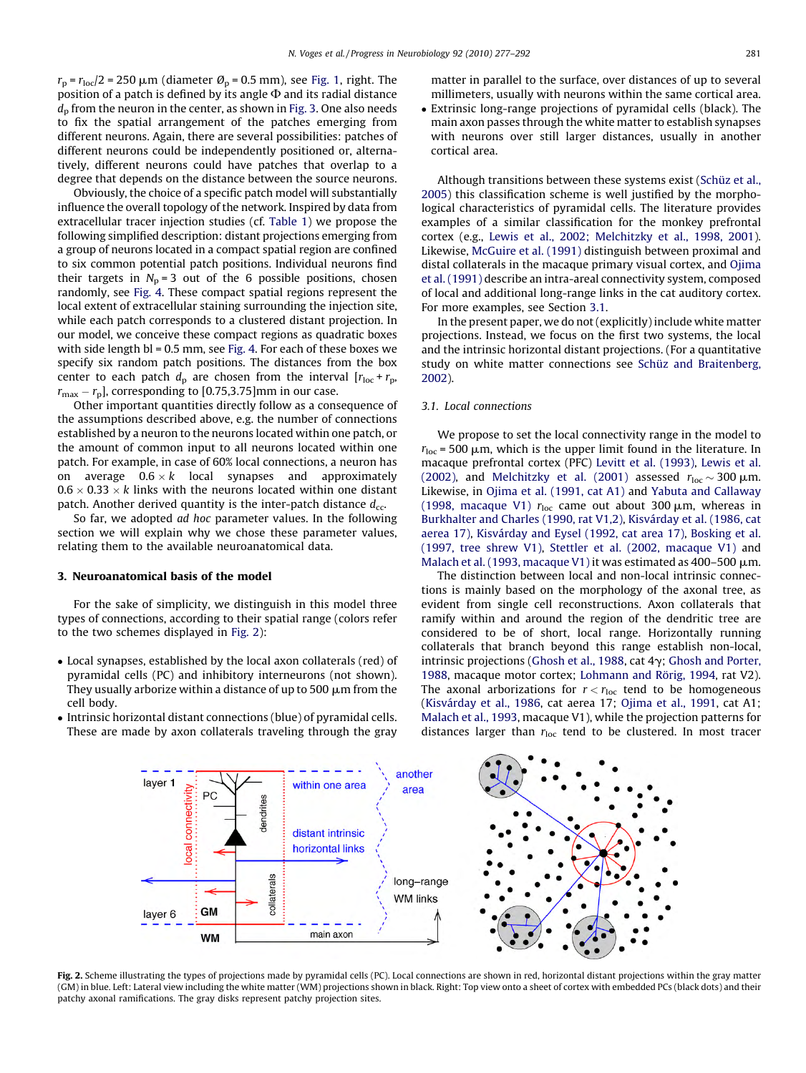<span id="page-4-0"></span> $r_p = r_{loc}/2 = 250 \mu m$  (diameter  $\mathcal{O}_p = 0.5 \text{ mm}$ ), see [Fig. 1](#page-1-0), right. The position of a patch is defined by its angle  $\Phi$  and its radial distance  $d<sub>p</sub>$  from the neuron in the center, as shown in [Fig. 3.](#page-8-0) One also needs to fix the spatial arrangement of the patches emerging from different neurons. Again, there are several possibilities: patches of different neurons could be independently positioned or, alternatively, different neurons could have patches that overlap to a degree that depends on the distance between the source neurons.

Obviously, the choice of a specific patch model will substantially influence the overall topology of the network. Inspired by data from extracellular tracer injection studies (cf. [Table 1](#page-3-0)) we propose the following simplified description: distant projections emerging from a group of neurons located in a compact spatial region are confined to six common potential patch positions. Individual neurons find their targets in  $N_p = 3$  out of the 6 possible positions, chosen randomly, see [Fig. 4.](#page-9-0) These compact spatial regions represent the local extent of extracellular staining surrounding the injection site, while each patch corresponds to a clustered distant projection. In our model, we conceive these compact regions as quadratic boxes with side length bl = 0.5 mm, see [Fig. 4](#page-9-0). For each of these boxes we specify six random patch positions. The distances from the box center to each patch  $d_p$  are chosen from the interval  $[r_{loc} + r_p,$  $r_{\text{max}} - r_{\text{p}}$ , corresponding to [0.75,3.75]mm in our case.

Other important quantities directly follow as a consequence of the assumptions described above, e.g. the number of connections established by a neuron to the neurons located within one patch, or the amount of common input to all neurons located within one patch. For example, in case of 60% local connections, a neuron has on average  $0.6 \times k$  local synapses and approximately  $0.6 \times 0.33 \times k$  links with the neurons located within one distant patch. Another derived quantity is the inter-patch distance  $d_{cc}$ .

So far, we adopted ad hoc parameter values. In the following section we will explain why we chose these parameter values, relating them to the available neuroanatomical data.

# 3. Neuroanatomical basis of the model

For the sake of simplicity, we distinguish in this model three types of connections, according to their spatial range (colors refer to the two schemes displayed in Fig. 2):

- Local synapses, established by the local axon collaterals (red) of pyramidal cells (PC) and inhibitory interneurons (not shown). They usually arborize within a distance of up to 500  $\mu$ m from the cell body.
- Intrinsic horizontal distant connections (blue) of pyramidal cells. These are made by axon collaterals traveling through the gray

matter in parallel to the surface, over distances of up to several millimeters, usually with neurons within the same cortical area.

- Extrinsic long-range projections of pyramidal cells (black). The main axon passes through the white matter to establish synapses with neurons over still larger distances, usually in another cortical area.

Although transitions between these systems exist (Schü[z et al.,](#page-15-0) [2005\)](#page-15-0) this classification scheme is well justified by the morphological characteristics of pyramidal cells. The literature provides examples of a similar classification for the monkey prefrontal cortex (e.g., [Lewis et al., 2002; Melchitzky et al., 1998, 2001\)](#page-14-0). Likewise, [McGuire et al. \(1991\)](#page-15-0) distinguish between proximal and distal collaterals in the macaque primary visual cortex, and [Ojima](#page-15-0) [et al. \(1991\)](#page-15-0) describe an intra-areal connectivity system, composed of local and additional long-range links in the cat auditory cortex. For more examples, see Section 3.1.

In the present paper, we do not (explicitly) include white matter projections. Instead, we focus on the first two systems, the local and the intrinsic horizontal distant projections. (For a quantitative study on white matter connections see Schü[z and Braitenberg,](#page-15-0) [2002\)](#page-15-0).

#### 3.1. Local connections

We propose to set the local connectivity range in the model to  $r_{loc}$  = 500  $\mu$ m, which is the upper limit found in the literature. In macaque prefrontal cortex (PFC) [Levitt et al. \(1993\)](#page-14-0), [Lewis et al.](#page-14-0) [\(2002\),](#page-14-0) and [Melchitzky et al. \(2001\)](#page-15-0) assessed  $r_{\text{loc}} \sim 300 \,\mu\text{m}$ . Likewise, in [Ojima et al. \(1991, cat A1\)](#page-15-0) and [Yabuta and Callaway](#page-15-0) [\(1998, macaque V1\)](#page-15-0)  $r_{\text{loc}}$  came out about 300  $\mu$ m, whereas in [Burkhalter and Charles \(1990, rat V1,2\)](#page-14-0), Kisvá[rday et al. \(1986, cat](#page-14-0) [aerea 17\),](#page-14-0) Kisvá[rday and Eysel \(1992, cat area 17\),](#page-14-0) [Bosking et al.](#page-14-0) [\(1997, tree shrew V1\)](#page-14-0), [Stettler et al. \(2002, macaque V1\)](#page-15-0) and [Malach et al. \(1993, macaque V1\)](#page-15-0) it was estimated as 400-500  $\mu$ m.

The distinction between local and non-local intrinsic connections is mainly based on the morphology of the axonal tree, as evident from single cell reconstructions. Axon collaterals that ramify within and around the region of the dendritic tree are considered to be of short, local range. Horizontally running collaterals that branch beyond this range establish non-local, intrinsic projections [\(Ghosh et al., 1988](#page-14-0), cat  $4\gamma$ ; [Ghosh and Porter,](#page-14-0) [1988,](#page-14-0) macaque motor cortex; Lohmann and Rörig, 1994, rat V2). The axonal arborizations for  $r < r_{\text{loc}}$  tend to be homogeneous (Kisvá[rday et al., 1986](#page-14-0), cat aerea 17; [Ojima et al., 1991](#page-15-0), cat A1; [Malach et al., 1993](#page-15-0), macaque V1), while the projection patterns for distances larger than  $r_{\text{loc}}$  tend to be clustered. In most tracer



Fig. 2. Scheme illustrating the types of projections made by pyramidal cells (PC). Local connections are shown in red, horizontal distant projections within the gray matter (GM) in blue. Left: Lateral view including the white matter (WM) projections shown in black. Right: Top view onto a sheet of cortex with embedded PCs (black dots) and their patchy axonal ramifications. The gray disks represent patchy projection sites.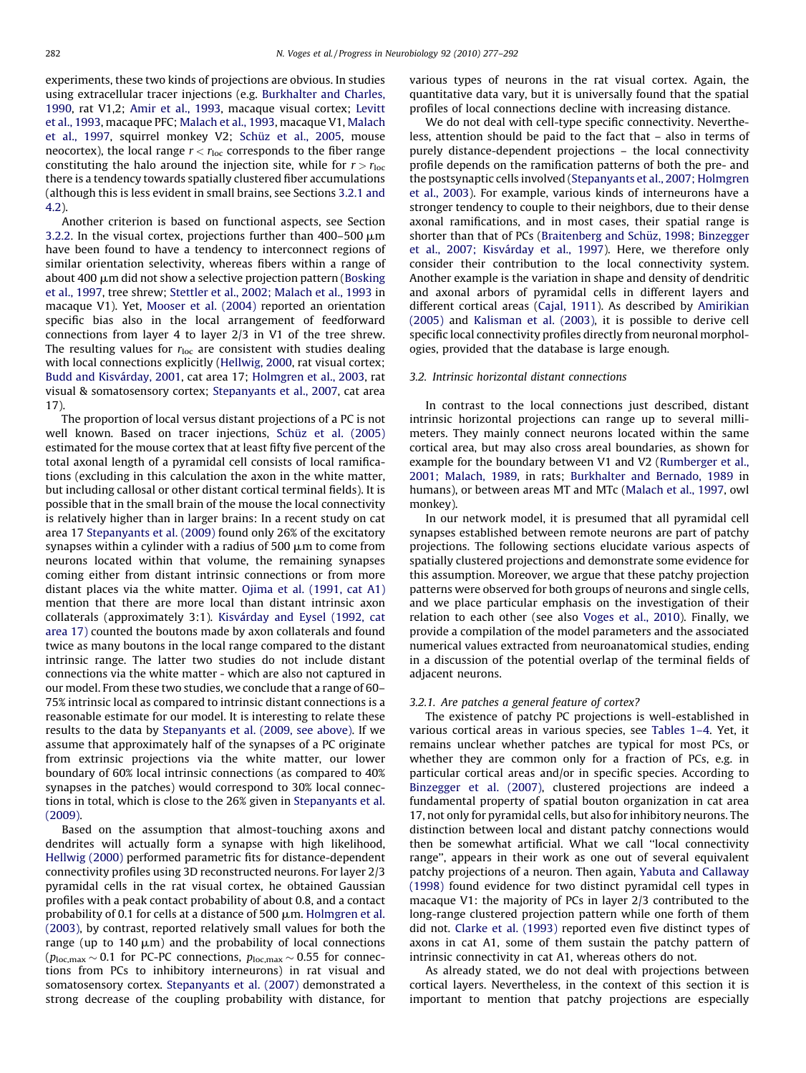<span id="page-5-0"></span>experiments, these two kinds of projections are obvious. In studies using extracellular tracer injections (e.g. [Burkhalter and Charles,](#page-14-0) [1990,](#page-14-0) rat V1,2; [Amir et al., 1993](#page-13-0), macaque visual cortex; [Levitt](#page-14-0) [et al., 1993,](#page-14-0) macaque PFC; [Malach et al., 1993](#page-15-0), macaque V1, [Malach](#page-15-0) [et al., 1997](#page-15-0), squirrel monkey V2; Schü[z et al., 2005](#page-15-0), mouse neocortex), the local range  $r < r<sub>loc</sub>$  corresponds to the fiber range constituting the halo around the injection site, while for  $r > r_{loc}$ there is a tendency towards spatially clustered fiber accumulations (although this is less evident in small brains, see Sections 3.2.1 and 4.2).

Another criterion is based on functional aspects, see Section [3.2.2](#page-6-0). In the visual cortex, projections further than  $400-500 \mu m$ have been found to have a tendency to interconnect regions of similar orientation selectivity, whereas fibers within a range of about 400  $\mu$ m did not show a selective projection pattern ([Bosking](#page-14-0) [et al., 1997,](#page-14-0) tree shrew; [Stettler et al., 2002; Malach et al., 1993](#page-15-0) in macaque V1). Yet, [Mooser et al. \(2004\)](#page-15-0) reported an orientation specific bias also in the local arrangement of feedforward connections from layer 4 to layer 2/3 in V1 of the tree shrew. The resulting values for  $r_{\text{loc}}$  are consistent with studies dealing with local connections explicitly ([Hellwig, 2000,](#page-14-0) rat visual cortex; Budd and Kisvárday, 2001, cat area 17; [Holmgren et al., 2003,](#page-14-0) rat visual & somatosensory cortex; [Stepanyants et al., 2007,](#page-15-0) cat area 17).

The proportion of local versus distant projections of a PC is not well known. Based on tracer injections, Schü[z et al. \(2005\)](#page-15-0) estimated for the mouse cortex that at least fifty five percent of the total axonal length of a pyramidal cell consists of local ramifications (excluding in this calculation the axon in the white matter, but including callosal or other distant cortical terminal fields). It is possible that in the small brain of the mouse the local connectivity is relatively higher than in larger brains: In a recent study on cat area 17 [Stepanyants et al. \(2009\)](#page-15-0) found only 26% of the excitatory synapses within a cylinder with a radius of 500  $\mu$ m to come from neurons located within that volume, the remaining synapses coming either from distant intrinsic connections or from more distant places via the white matter. [Ojima et al. \(1991, cat A1\)](#page-15-0) mention that there are more local than distant intrinsic axon collaterals (approximately 3:1). Kisvá[rday and Eysel \(1992, cat](#page-14-0) [area 17\)](#page-14-0) counted the boutons made by axon collaterals and found twice as many boutons in the local range compared to the distant intrinsic range. The latter two studies do not include distant connections via the white matter - which are also not captured in our model. From these two studies, we conclude that a range of 60– 75% intrinsic local as compared to intrinsic distant connections is a reasonable estimate for our model. It is interesting to relate these results to the data by [Stepanyants et al. \(2009, see above\)](#page-15-0). If we assume that approximately half of the synapses of a PC originate from extrinsic projections via the white matter, our lower boundary of 60% local intrinsic connections (as compared to 40% synapses in the patches) would correspond to 30% local connections in total, which is close to the 26% given in [Stepanyants et al.](#page-15-0) [\(2009\).](#page-15-0)

Based on the assumption that almost-touching axons and dendrites will actually form a synapse with high likelihood, [Hellwig \(2000\)](#page-14-0) performed parametric fits for distance-dependent connectivity profiles using 3D reconstructed neurons. For layer 2/3 pyramidal cells in the rat visual cortex, he obtained Gaussian profiles with a peak contact probability of about 0.8, and a contact probability of 0.1 for cells at a distance of 500  $\mu$ m. [Holmgren et al.](#page-14-0) [\(2003\),](#page-14-0) by contrast, reported relatively small values for both the range (up to  $140 \mu m$ ) and the probability of local connections ( $p_{loc,max} \sim 0.1$  for PC-PC connections,  $p_{loc,max} \sim 0.55$  for connections from PCs to inhibitory interneurons) in rat visual and somatosensory cortex. [Stepanyants et al. \(2007\)](#page-15-0) demonstrated a strong decrease of the coupling probability with distance, for various types of neurons in the rat visual cortex. Again, the quantitative data vary, but it is universally found that the spatial profiles of local connections decline with increasing distance.

We do not deal with cell-type specific connectivity. Nevertheless, attention should be paid to the fact that – also in terms of purely distance-dependent projections – the local connectivity profile depends on the ramification patterns of both the pre- and the postsynaptic cells involved ([Stepanyants et al., 2007; Holmgren](#page-15-0) [et al., 2003\)](#page-15-0). For example, various kinds of interneurons have a stronger tendency to couple to their neighbors, due to their dense axonal ramifications, and in most cases, their spatial range is shorter than that of PCs (Braitenberg and Schüz, 1998; Binzegger et al., 2007; Kisvárday et al., 1997). Here, we therefore only consider their contribution to the local connectivity system. Another example is the variation in shape and density of dendritic and axonal arbors of pyramidal cells in different layers and different cortical areas ([Cajal, 1911](#page-15-0)). As described by [Amirikian](#page-13-0) [\(2005\)](#page-13-0) and [Kalisman et al. \(2003\)](#page-14-0), it is possible to derive cell specific local connectivity profiles directly from neuronal morphologies, provided that the database is large enough.

#### 3.2. Intrinsic horizontal distant connections

In contrast to the local connections just described, distant intrinsic horizontal projections can range up to several millimeters. They mainly connect neurons located within the same cortical area, but may also cross areal boundaries, as shown for example for the boundary between V1 and V2 ([Rumberger et al.,](#page-15-0) [2001; Malach, 1989](#page-15-0), in rats; [Burkhalter and Bernado, 1989](#page-14-0) in humans), or between areas MT and MTc ([Malach et al., 1997](#page-15-0), owl monkey).

In our network model, it is presumed that all pyramidal cell synapses established between remote neurons are part of patchy projections. The following sections elucidate various aspects of spatially clustered projections and demonstrate some evidence for this assumption. Moreover, we argue that these patchy projection patterns were observed for both groups of neurons and single cells, and we place particular emphasis on the investigation of their relation to each other (see also [Voges et al., 2010](#page-15-0)). Finally, we provide a compilation of the model parameters and the associated numerical values extracted from neuroanatomical studies, ending in a discussion of the potential overlap of the terminal fields of adjacent neurons.

#### 3.2.1. Are patches a general feature of cortex?

The existence of patchy PC projections is well-established in various cortical areas in various species, see [Tables 1–4](#page-3-0). Yet, it remains unclear whether patches are typical for most PCs, or whether they are common only for a fraction of PCs, e.g. in particular cortical areas and/or in specific species. According to [Binzegger et al. \(2007\)](#page-14-0), clustered projections are indeed a fundamental property of spatial bouton organization in cat area 17, not only for pyramidal cells, but also for inhibitory neurons. The distinction between local and distant patchy connections would then be somewhat artificial. What we call ''local connectivity range'', appears in their work as one out of several equivalent patchy projections of a neuron. Then again, [Yabuta and Callaway](#page-15-0) [\(1998\)](#page-15-0) found evidence for two distinct pyramidal cell types in macaque V1: the majority of PCs in layer 2/3 contributed to the long-range clustered projection pattern while one forth of them did not. [Clarke et al. \(1993\)](#page-14-0) reported even five distinct types of axons in cat A1, some of them sustain the patchy pattern of intrinsic connectivity in cat A1, whereas others do not.

As already stated, we do not deal with projections between cortical layers. Nevertheless, in the context of this section it is important to mention that patchy projections are especially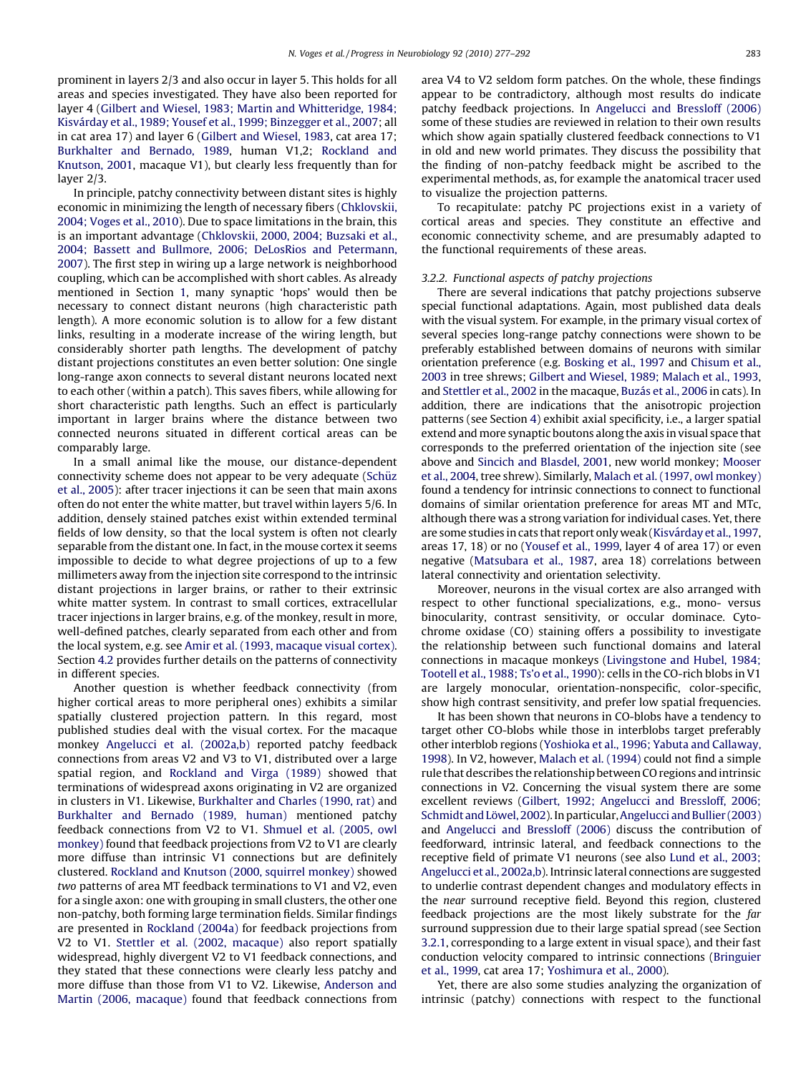<span id="page-6-0"></span>prominent in layers 2/3 and also occur in layer 5. This holds for all areas and species investigated. They have also been reported for layer 4 ([Gilbert and Wiesel, 1983; Martin and Whitteridge, 1984;](#page-14-0) Kisvá[rday et al., 1989; Yousef et al., 1999; Binzegger et al., 2007;](#page-14-0) all in cat area 17) and layer 6 ([Gilbert and Wiesel, 1983](#page-14-0), cat area 17; [Burkhalter and Bernado, 1989,](#page-14-0) human V1,2; [Rockland and](#page-15-0) [Knutson, 2001](#page-15-0), macaque V1), but clearly less frequently than for layer 2/3.

In principle, patchy connectivity between distant sites is highly economic in minimizing the length of necessary fibers [\(Chklovskii,](#page-14-0) [2004; Voges et al., 2010\)](#page-14-0). Due to space limitations in the brain, this is an important advantage [\(Chklovskii, 2000, 2004; Buzsaki et al.,](#page-14-0) [2004; Bassett and Bullmore, 2006; DeLosRios and Petermann,](#page-14-0) [2007\)](#page-14-0). The first step in wiring up a large network is neighborhood coupling, which can be accomplished with short cables. As already mentioned in Section [1,](#page-1-0) many synaptic 'hops' would then be necessary to connect distant neurons (high characteristic path length). A more economic solution is to allow for a few distant links, resulting in a moderate increase of the wiring length, but considerably shorter path lengths. The development of patchy distant projections constitutes an even better solution: One single long-range axon connects to several distant neurons located next to each other (within a patch). This saves fibers, while allowing for short characteristic path lengths. Such an effect is particularly important in larger brains where the distance between two connected neurons situated in different cortical areas can be comparably large.

In a small animal like the mouse, our distance-dependent connectivity scheme does not appear to be very adequate (Schüz [et al., 2005](#page-15-0)): after tracer injections it can be seen that main axons often do not enter the white matter, but travel within layers 5/6. In addition, densely stained patches exist within extended terminal fields of low density, so that the local system is often not clearly separable from the distant one. In fact, in the mouse cortex it seems impossible to decide to what degree projections of up to a few millimeters away from the injection site correspond to the intrinsic distant projections in larger brains, or rather to their extrinsic white matter system. In contrast to small cortices, extracellular tracer injections in larger brains, e.g. of the monkey, result in more, well-defined patches, clearly separated from each other and from the local system, e.g. see [Amir et al. \(1993, macaque visual cortex\).](#page-13-0) Section [4.2](#page-11-0) provides further details on the patterns of connectivity in different species.

Another question is whether feedback connectivity (from higher cortical areas to more peripheral ones) exhibits a similar spatially clustered projection pattern. In this regard, most published studies deal with the visual cortex. For the macaque monkey [Angelucci et al. \(2002a,b\)](#page-13-0) reported patchy feedback connections from areas V2 and V3 to V1, distributed over a large spatial region, and [Rockland and Virga \(1989\)](#page-15-0) showed that terminations of widespread axons originating in V2 are organized in clusters in V1. Likewise, [Burkhalter and Charles \(1990, rat\)](#page-14-0) and [Burkhalter and Bernado \(1989, human\)](#page-14-0) mentioned patchy feedback connections from V2 to V1. [Shmuel et al. \(2005, owl](#page-15-0) [monkey\)](#page-15-0) found that feedback projections from V2 to V1 are clearly more diffuse than intrinsic V1 connections but are definitely clustered. [Rockland and Knutson \(2000, squirrel monkey\)](#page-15-0) showed two patterns of area MT feedback terminations to V1 and V2, even for a single axon: one with grouping in small clusters, the other one non-patchy, both forming large termination fields. Similar findings are presented in [Rockland \(2004a\)](#page-15-0) for feedback projections from V2 to V1. [Stettler et al. \(2002, macaque\)](#page-15-0) also report spatially widespread, highly divergent V2 to V1 feedback connections, and they stated that these connections were clearly less patchy and more diffuse than those from V1 to V2. Likewise, [Anderson and](#page-13-0) [Martin \(2006, macaque\)](#page-13-0) found that feedback connections from area V4 to V2 seldom form patches. On the whole, these findings appear to be contradictory, although most results do indicate patchy feedback projections. In [Angelucci and Bressloff \(2006\)](#page-13-0) some of these studies are reviewed in relation to their own results which show again spatially clustered feedback connections to V1 in old and new world primates. They discuss the possibility that the finding of non-patchy feedback might be ascribed to the experimental methods, as, for example the anatomical tracer used to visualize the projection patterns.

To recapitulate: patchy PC projections exist in a variety of cortical areas and species. They constitute an effective and economic connectivity scheme, and are presumably adapted to the functional requirements of these areas.

#### 3.2.2. Functional aspects of patchy projections

There are several indications that patchy projections subserve special functional adaptations. Again, most published data deals with the visual system. For example, in the primary visual cortex of several species long-range patchy connections were shown to be preferably established between domains of neurons with similar orientation preference (e.g. [Bosking et al., 1997](#page-14-0) and [Chisum et al.,](#page-14-0) [2003](#page-14-0) in tree shrews; [Gilbert and Wiesel, 1989; Malach et al., 1993,](#page-14-0) and [Stettler et al., 2002](#page-15-0) in the macaque, Buzá[s et al., 2006](#page-14-0) in cats). In addition, there are indications that the anisotropic projection patterns (see Section [4\)](#page-10-0) exhibit axial specificity, i.e., a larger spatial extend and more synaptic boutons along the axis in visual space that corresponds to the preferred orientation of the injection site (see above and [Sincich and Blasdel, 2001,](#page-15-0) new world monkey; [Mooser](#page-15-0) [et al., 2004,](#page-15-0) tree shrew). Similarly, [Malach et al. \(1997, owl monkey\)](#page-15-0) found a tendency for intrinsic connections to connect to functional domains of similar orientation preference for areas MT and MTc, although there was a strong variation for individual cases. Yet, there are some studies in cats that report only weak (Kisvá[rday et al., 1997,](#page-14-0) areas 17, 18) or no [\(Yousef et al., 1999,](#page-15-0) layer 4 of area 17) or even negative [\(Matsubara et al., 1987](#page-15-0), area 18) correlations between lateral connectivity and orientation selectivity.

Moreover, neurons in the visual cortex are also arranged with respect to other functional specializations, e.g., mono- versus binocularity, contrast sensitivity, or occular dominace. Cytochrome oxidase (CO) staining offers a possibility to investigate the relationship between such functional domains and lateral connections in macaque monkeys ([Livingstone and Hubel, 1984;](#page-14-0) [Tootell et al., 1988; Ts'o et al., 1990](#page-14-0)): cells in the CO-rich blobs in V1 are largely monocular, orientation-nonspecific, color-specific, show high contrast sensitivity, and prefer low spatial frequencies.

It has been shown that neurons in CO-blobs have a tendency to target other CO-blobs while those in interblobs target preferably other interblob regions [\(Yoshioka et al., 1996; Yabuta and Callaway,](#page-15-0) [1998\)](#page-15-0). In V2, however, [Malach et al. \(1994\)](#page-15-0) could not find a simple rule that describes the relationship between CO regions and intrinsic connections in V2. Concerning the visual system there are some excellent reviews [\(Gilbert, 1992; Angelucci and Bressloff, 2006;](#page-14-0) Schmidt and Löwel, 2002). In particular, [Angelucci and Bullier \(2003\)](#page-13-0) and [Angelucci and Bressloff \(2006\)](#page-13-0) discuss the contribution of feedforward, intrinsic lateral, and feedback connections to the receptive field of primate V1 neurons (see also [Lund et al., 2003;](#page-15-0) [Angelucci et al., 2002a,b](#page-15-0)). Intrinsic lateral connections are suggested to underlie contrast dependent changes and modulatory effects in the near surround receptive field. Beyond this region, clustered feedback projections are the most likely substrate for the far surround suppression due to their large spatial spread (see Section [3.2.1,](#page-5-0) corresponding to a large extent in visual space), and their fast conduction velocity compared to intrinsic connections ([Bringuier](#page-14-0) [et al., 1999](#page-14-0), cat area 17; [Yoshimura et al., 2000\)](#page-15-0).

Yet, there are also some studies analyzing the organization of intrinsic (patchy) connections with respect to the functional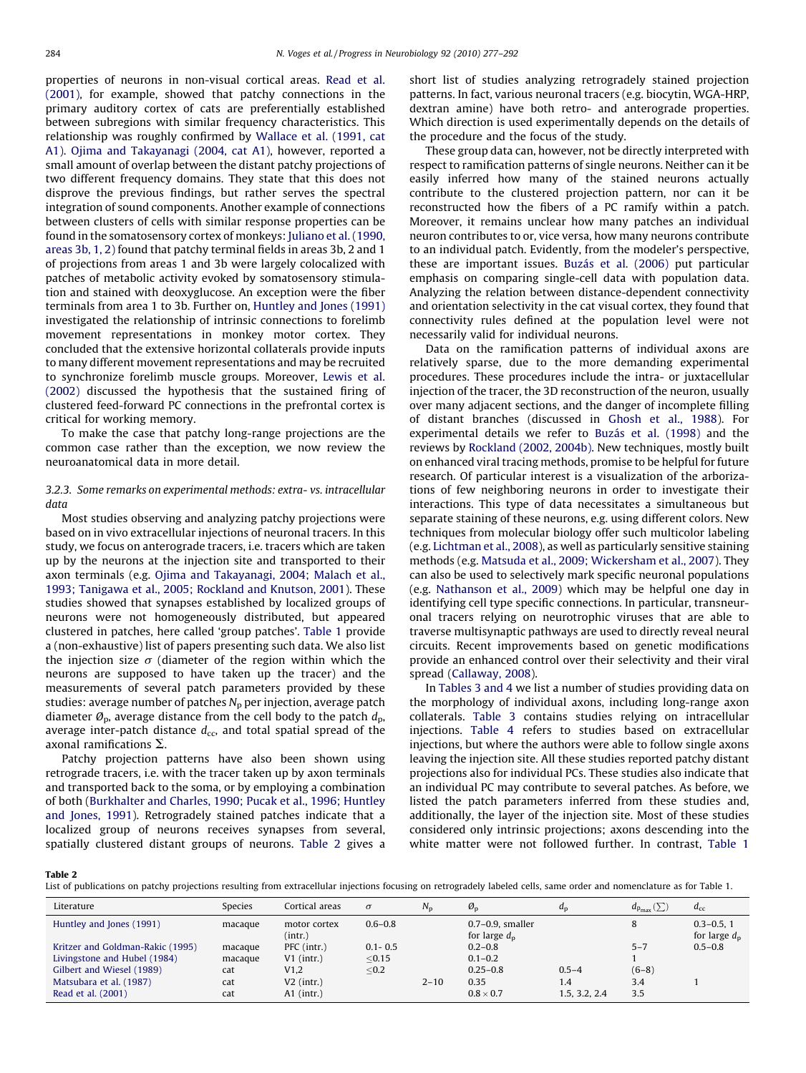<span id="page-7-0"></span>properties of neurons in non-visual cortical areas. [Read et al.](#page-15-0) [\(2001\),](#page-15-0) for example, showed that patchy connections in the primary auditory cortex of cats are preferentially established between subregions with similar frequency characteristics. This relationship was roughly confirmed by [Wallace et al. \(1991, cat](#page-15-0) [A1\).](#page-15-0) [Ojima and Takayanagi \(2004, cat A1\),](#page-15-0) however, reported a small amount of overlap between the distant patchy projections of two different frequency domains. They state that this does not disprove the previous findings, but rather serves the spectral integration of sound components. Another example of connections between clusters of cells with similar response properties can be found in the somatosensory cortex of monkeys: [Juliano et al. \(1990,](#page-14-0) [areas 3b, 1, 2\)](#page-14-0) found that patchy terminal fields in areas 3b, 2 and 1 of projections from areas 1 and 3b were largely colocalized with patches of metabolic activity evoked by somatosensory stimulation and stained with deoxyglucose. An exception were the fiber terminals from area 1 to 3b. Further on, [Huntley and Jones \(1991\)](#page-14-0) investigated the relationship of intrinsic connections to forelimb movement representations in monkey motor cortex. They concluded that the extensive horizontal collaterals provide inputs to many different movement representations and may be recruited to synchronize forelimb muscle groups. Moreover, [Lewis et al.](#page-14-0) [\(2002\)](#page-14-0) discussed the hypothesis that the sustained firing of clustered feed-forward PC connections in the prefrontal cortex is critical for working memory.

To make the case that patchy long-range projections are the common case rather than the exception, we now review the neuroanatomical data in more detail.

# 3.2.3. Some remarks on experimental methods: extra- vs. intracellular data

Most studies observing and analyzing patchy projections were based on in vivo extracellular injections of neuronal tracers. In this study, we focus on anterograde tracers, i.e. tracers which are taken up by the neurons at the injection site and transported to their axon terminals (e.g. [Ojima and Takayanagi, 2004; Malach et al.,](#page-15-0) [1993; Tanigawa et al., 2005; Rockland and Knutson, 2001](#page-15-0)). These studies showed that synapses established by localized groups of neurons were not homogeneously distributed, but appeared clustered in patches, here called 'group patches'. [Table 1](#page-3-0) provide a (non-exhaustive) list of papers presenting such data. We also list the injection size  $\sigma$  (diameter of the region within which the neurons are supposed to have taken up the tracer) and the measurements of several patch parameters provided by these studies: average number of patches  $N_p$  per injection, average patch diameter  $\mathcal{O}_p$ , average distance from the cell body to the patch  $d_p$ , average inter-patch distance  $d_{cc}$ , and total spatial spread of the axonal ramifications  $\Sigma$ .

Patchy projection patterns have also been shown using retrograde tracers, i.e. with the tracer taken up by axon terminals and transported back to the soma, or by employing a combination of both [\(Burkhalter and Charles, 1990; Pucak et al., 1996; Huntley](#page-14-0) [and Jones, 1991\)](#page-14-0). Retrogradely stained patches indicate that a localized group of neurons receives synapses from several, spatially clustered distant groups of neurons. Table 2 gives a short list of studies analyzing retrogradely stained projection patterns. In fact, various neuronal tracers (e.g. biocytin, WGA-HRP, dextran amine) have both retro- and anterograde properties. Which direction is used experimentally depends on the details of the procedure and the focus of the study.

These group data can, however, not be directly interpreted with respect to ramification patterns of single neurons. Neither can it be easily inferred how many of the stained neurons actually contribute to the clustered projection pattern, nor can it be reconstructed how the fibers of a PC ramify within a patch. Moreover, it remains unclear how many patches an individual neuron contributes to or, vice versa, how many neurons contribute to an individual patch. Evidently, from the modeler's perspective, these are important issues. Buzá[s et al. \(2006\)](#page-14-0) put particular emphasis on comparing single-cell data with population data. Analyzing the relation between distance-dependent connectivity and orientation selectivity in the cat visual cortex, they found that connectivity rules defined at the population level were not necessarily valid for individual neurons.

Data on the ramification patterns of individual axons are relatively sparse, due to the more demanding experimental procedures. These procedures include the intra- or juxtacellular injection of the tracer, the 3D reconstruction of the neuron, usually over many adjacent sections, and the danger of incomplete filling of distant branches (discussed in [Ghosh et al., 1988](#page-14-0)). For experimental details we refer to Buzá[s et al. \(1998\)](#page-14-0) and the reviews by [Rockland \(2002, 2004b\)](#page-15-0). New techniques, mostly built on enhanced viral tracing methods, promise to be helpful for future research. Of particular interest is a visualization of the arborizations of few neighboring neurons in order to investigate their interactions. This type of data necessitates a simultaneous but separate staining of these neurons, e.g. using different colors. New techniques from molecular biology offer such multicolor labeling (e.g. [Lichtman et al., 2008\)](#page-14-0), as well as particularly sensitive staining methods (e.g. [Matsuda et al., 2009; Wickersham et al., 2007](#page-15-0)). They can also be used to selectively mark specific neuronal populations (e.g. [Nathanson et al., 2009](#page-15-0)) which may be helpful one day in identifying cell type specific connections. In particular, transneuronal tracers relying on neurotrophic viruses that are able to traverse multisynaptic pathways are used to directly reveal neural circuits. Recent improvements based on genetic modifications provide an enhanced control over their selectivity and their viral spread [\(Callaway, 2008](#page-14-0)).

In [Tables 3 and 4](#page-8-0) we list a number of studies providing data on the morphology of individual axons, including long-range axon collaterals. [Table 3](#page-8-0) contains studies relying on intracellular injections. [Table 4](#page-8-0) refers to studies based on extracellular injections, but where the authors were able to follow single axons leaving the injection site. All these studies reported patchy distant projections also for individual PCs. These studies also indicate that an individual PC may contribute to several patches. As before, we listed the patch parameters inferred from these studies and, additionally, the layer of the injection site. Most of these studies considered only intrinsic projections; axons descending into the white matter were not followed further. In contrast, [Table 1](#page-3-0)

#### Table 2

List of publications on patchy projections resulting from extracellular injections focusing on retrogradely labeled cells, same order and nomenclature as for Table 1.

| Literature                                                                 | <b>Species</b>     | Cortical areas                       | $\sigma$              | $N_{\rm n}$ | $\varnothing_{\rm n}$                        | $a_{\rm n}$                       | $d_{\mathrm{p}_{\mathrm{max}}}(\sum)$ | $d_{\rm cc}$                           |
|----------------------------------------------------------------------------|--------------------|--------------------------------------|-----------------------|-------------|----------------------------------------------|-----------------------------------|---------------------------------------|----------------------------------------|
| Huntley and Jones (1991)                                                   | macaque            | motor cortex<br>(int.)               | $0.6 - 0.8$           |             | $0.7-0.9$ , smaller<br>for large $d_{\rm p}$ |                                   | 8                                     | $0.3 - 0.5.1$<br>for large $d_{\rm p}$ |
| Kritzer and Goldman-Rakic (1995)<br>Livingstone and Hubel (1984)           | macaque<br>macaque | PFC (intr.)<br>$V1$ (intr.)          | $0.1 - 0.5$<br>< 0.15 |             | $0.2 - 0.8$<br>$0.1 - 0.2$<br>$0.25 - 0.8$   |                                   | $5 - 7$                               | $0.5 - 0.8$                            |
| Gilbert and Wiesel (1989)<br>Matsubara et al. (1987)<br>Read et al. (2001) | cat<br>cat<br>cat  | V1,2<br>$V2$ (intr.)<br>$A1$ (intr.) | < 0.2                 | $2 - 10$    | 0.35<br>$0.8 \times 0.7$                     | $0.5 - 4$<br>1.4<br>1.5, 3.2, 2.4 | $(6-8)$<br>3.4<br>3.5                 |                                        |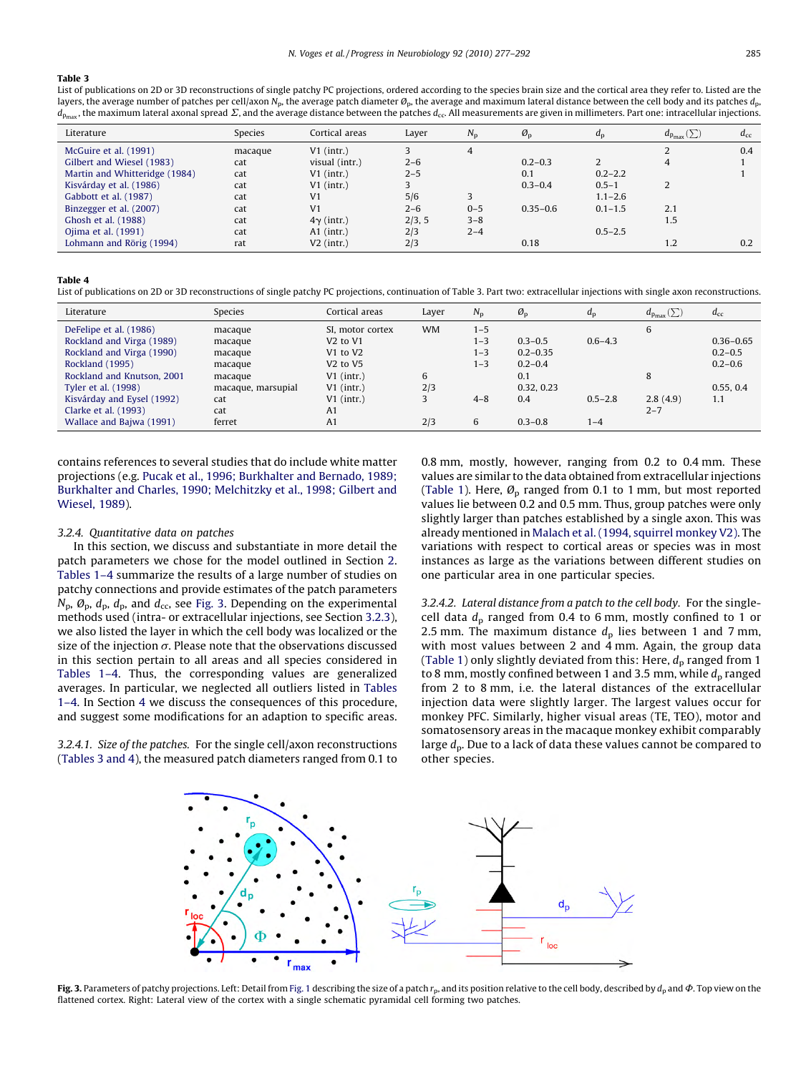## <span id="page-8-0"></span>Table 3

List of publications on 2D or 3D reconstructions of single patchy PC projections, ordered according to the species brain size and the cortical area they refer to. Listed are the layers, the average number of patches per cell/axon N<sub>p</sub>, the average patch diameter  $\varrho_p$ , the average and maximum lateral distance between the cell body and its patches  $d_p$ ,  $d_{p_{\text{max}}}$ , the maximum lateral axonal spread  $\Sigma$ , and the average distance between the patches  $d_{\text{cc}}$ . All measurements are given in millimeters. Part one: intracellular injections.

| Literature                    | Species | Cortical areas    | Layer   | $N_{\rm p}$ | $\mathcal{O}_p$ | $d_{\rm p}$ | $d_{p_{\max}}(\sum)$ | $d_{\rm cc}$ |
|-------------------------------|---------|-------------------|---------|-------------|-----------------|-------------|----------------------|--------------|
| McGuire et al. (1991)         | macague | $V1$ (intr.)      |         | 4           |                 |             |                      | 0.4          |
| Gilbert and Wiesel (1983)     | cat     | visual (intr.)    | $2 - 6$ |             | $0.2 - 0.3$     |             | 4                    |              |
| Martin and Whitteridge (1984) | cat     | $V1$ (intr.)      | $2 - 5$ |             | 0.1             | $0.2 - 2.2$ |                      |              |
| Kisvárday et al. (1986)       | cat     | $V1$ (intr.)      |         |             | $0.3 - 0.4$     | $0.5 - 1$   |                      |              |
| Gabbott et al. (1987)         | cat     | V <sub>1</sub>    | 5/6     | 3           |                 | $1.1 - 2.6$ |                      |              |
| Binzegger et al. (2007)       | cat     | V <sub>1</sub>    | $2 - 6$ | $0 - 5$     | $0.35 - 0.6$    | $0.1 - 1.5$ | 2.1                  |              |
| Ghosh et al. (1988)           | cat     | $4\gamma$ (intr.) | 2/3, 5  | $3 - 8$     |                 |             | 1.5                  |              |
| Ojima et al. (1991)           | cat     | $A1$ (intr.)      | 2/3     | $2 - 4$     |                 | $0.5 - 2.5$ |                      |              |
| Lohmann and Rörig (1994)      | rat     | $V2$ (intr.)      | 2/3     |             | 0.18            |             | 1.2                  | 0.2          |

#### Table 4

List of publications on 2D or 3D reconstructions of single patchy PC projections, continuation of Table 3. Part two: extracellular injections with single axon reconstructions.

| Literature                 | Species            | Cortical areas                   | Layer     | $N_{\rm p}$ | $\mathcal{O}_D$ | $d_{\rm p}$ | $d_{\mathrm{p}_{\mathrm{max}}}(\sum)$ | $d_{\rm cc}$  |
|----------------------------|--------------------|----------------------------------|-----------|-------------|-----------------|-------------|---------------------------------------|---------------|
| DeFelipe et al. (1986)     | macaque            | SI, motor cortex                 | <b>WM</b> | $1 - 5$     |                 |             | 6                                     |               |
| Rockland and Virga (1989)  | macaque            | V <sub>2</sub> to V <sub>1</sub> |           | $1 - 3$     | $0.3 - 0.5$     | $0.6 - 4.3$ |                                       | $0.36 - 0.65$ |
| Rockland and Virga (1990)  | macaque            | V1 to V2                         |           | $1 - 3$     | $0.2 - 0.35$    |             |                                       | $0.2 - 0.5$   |
| Rockland (1995)            | macaque            | V <sub>2</sub> to V <sub>5</sub> |           | $1 - 3$     | $0.2 - 0.4$     |             |                                       | $0.2 - 0.6$   |
| Rockland and Knutson, 2001 | macaque            | $V1$ (intr.)                     | 6         |             | 0.1             |             | 8                                     |               |
| Tyler et al. (1998)        | macaque, marsupial | $V1$ (intr.)                     | 2/3       |             | 0.32.0.23       |             |                                       | 0.55, 0.4     |
| Kisvárday and Eysel (1992) | cat                | $V1$ (intr.)                     |           | $4 - 8$     | 0.4             | $0.5 - 2.8$ | 2.8(4.9)                              | 1.1           |
| Clarke et al. (1993)       | cat                | A1                               |           |             |                 |             | $2 - 7$                               |               |
| Wallace and Bajwa (1991)   | ferret             | A1                               | 2/3       | 6           | $0.3 - 0.8$     | 1-4         |                                       |               |

contains references to several studies that do include white matter projections (e.g. [Pucak et al., 1996; Burkhalter and Bernado, 1989;](#page-15-0) [Burkhalter and Charles, 1990; Melchitzky et al., 1998; Gilbert and](#page-15-0) [Wiesel, 1989](#page-15-0)).

## 3.2.4. Quantitative data on patches

In this section, we discuss and substantiate in more detail the patch parameters we chose for the model outlined in Section [2.](#page-2-0) [Tables 1–4](#page-3-0) summarize the results of a large number of studies on patchy connections and provide estimates of the patch parameters  $N_p$ ,  $\mathcal{O}_p$ ,  $d_p$ ,  $d_p$ , and  $d_{cc}$ , see Fig. 3. Depending on the experimental methods used (intra- or extracellular injections, see Section [3.2.3\)](#page-7-0), we also listed the layer in which the cell body was localized or the size of the injection  $\sigma$ . Please note that the observations discussed in this section pertain to all areas and all species considered in [Tables 1–4](#page-3-0). Thus, the corresponding values are generalized averages. In particular, we neglected all outliers listed in [Tables](#page-3-0) [1–4.](#page-3-0) In Section [4](#page-10-0) we discuss the consequences of this procedure, and suggest some modifications for an adaption to specific areas.

3.2.4.1. Size of the patches. For the single cell/axon reconstructions (Tables 3 and 4), the measured patch diameters ranged from 0.1 to 0.8 mm, mostly, however, ranging from 0.2 to 0.4 mm. These values are similar to the data obtained from extracellular injections ([Table 1](#page-3-0)). Here,  $\mathcal{O}_D$  ranged from 0.1 to 1 mm, but most reported values lie between 0.2 and 0.5 mm. Thus, group patches were only slightly larger than patches established by a single axon. This was already mentioned in [Malach et al. \(1994, squirrel monkey V2\)](#page-15-0). The variations with respect to cortical areas or species was in most instances as large as the variations between different studies on one particular area in one particular species.

3.2.4.2. Lateral distance from a patch to the cell body. For the singlecell data  $d_p$  ranged from 0.4 to 6 mm, mostly confined to 1 or 2.5 mm. The maximum distance  $d<sub>p</sub>$  lies between 1 and 7 mm, with most values between 2 and  $\overline{4}$  mm. Again, the group data ([Table 1\)](#page-3-0) only slightly deviated from this: Here,  $d_p$  ranged from 1 to 8 mm, mostly confined between 1 and 3.5 mm, while  $d_p$  ranged from 2 to 8 mm, i.e. the lateral distances of the extracellular injection data were slightly larger. The largest values occur for monkey PFC. Similarly, higher visual areas (TE, TEO), motor and somatosensory areas in the macaque monkey exhibit comparably large  $d_p$ . Due to a lack of data these values cannot be compared to other species.



Fig. 3. Parameters of patchy projections. Left: Detail from [Fig. 1](#page-1-0) describing the size of a patch  $r_p$ , and its position relative to the cell body, described by  $d_p$  and  $\Phi$ . Top view on the flattened cortex. Right: Lateral view of the cortex with a single schematic pyramidal cell forming two patches.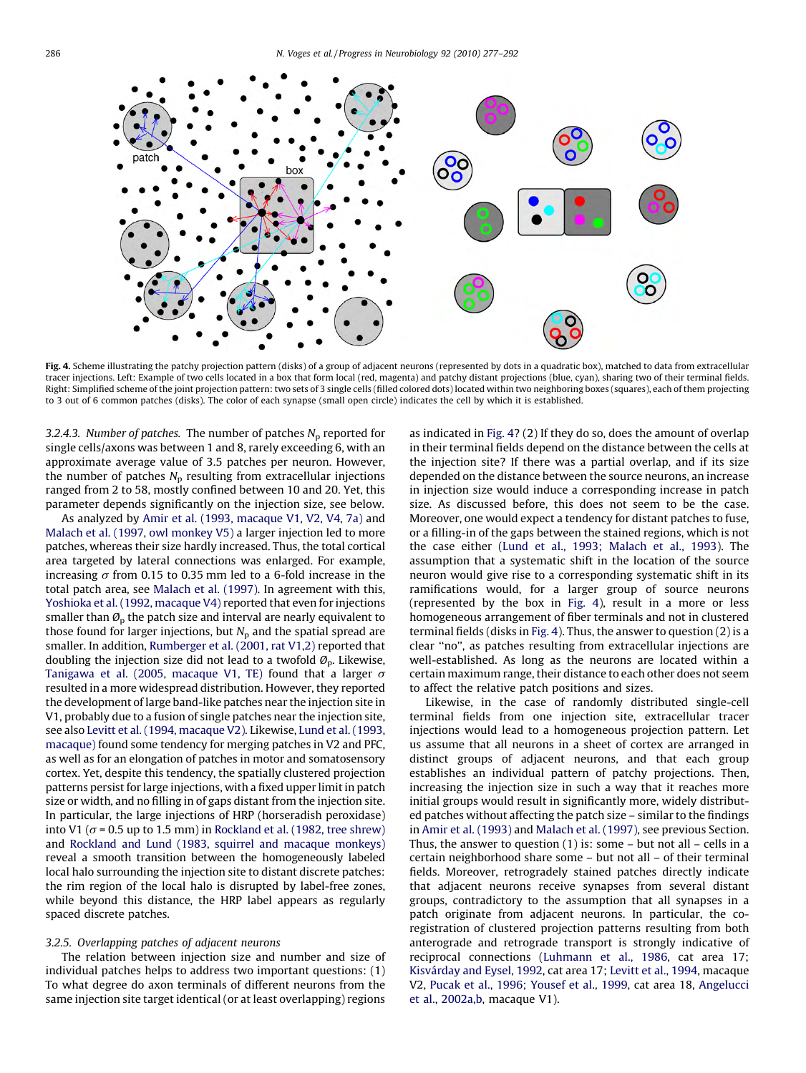<span id="page-9-0"></span>

Fig. 4. Scheme illustrating the patchy projection pattern (disks) of a group of adjacent neurons (represented by dots in a quadratic box), matched to data from extracellular tracer injections. Left: Example of two cells located in a box that form local (red, magenta) and patchy distant projections (blue, cyan), sharing two of their terminal fields. Right: Simplified scheme of the joint projection pattern: two sets of 3 single cells (filled colored dots) located within two neighboring boxes (squares), each of them projecting to 3 out of 6 common patches (disks). The color of each synapse (small open circle) indicates the cell by which it is established.

3.2.4.3. Number of patches. The number of patches  $N_p$  reported for single cells/axons was between 1 and 8, rarely exceeding 6, with an approximate average value of 3.5 patches per neuron. However, the number of patches  $N_p$  resulting from extracellular injections ranged from 2 to 58, mostly confined between 10 and 20. Yet, this parameter depends significantly on the injection size, see below.

As analyzed by [Amir et al. \(1993, macaque V1, V2, V4, 7a\)](#page-13-0) and [Malach et al. \(1997, owl monkey V5\)](#page-15-0) a larger injection led to more patches, whereas their size hardly increased. Thus, the total cortical area targeted by lateral connections was enlarged. For example, increasing  $\sigma$  from 0.15 to 0.35 mm led to a 6-fold increase in the total patch area, see [Malach et al. \(1997\)](#page-15-0). In agreement with this, [Yoshioka et al. \(1992, macaque V4\)](#page-15-0) reported that even for injections smaller than  $\mathcal{O}_p$  the patch size and interval are nearly equivalent to those found for larger injections, but  $N_p$  and the spatial spread are smaller. In addition, [Rumberger et al. \(2001, rat V1,2\)](#page-15-0) reported that doubling the injection size did not lead to a twofold  $\mathcal{O}_p$ . Likewise, [Tanigawa et al. \(2005, macaque V1, TE\)](#page-15-0) found that a larger  $\sigma$ resulted in a more widespread distribution. However, they reported the development of large band-like patches near the injection site in V1, probably due to a fusion of single patches near the injection site, see also [Levitt et al. \(1994, macaque V2\)](#page-14-0). Likewise, [Lund et al. \(1993,](#page-15-0) [macaque\)](#page-15-0) found some tendency for merging patches in V2 and PFC, as well as for an elongation of patches in motor and somatosensory cortex. Yet, despite this tendency, the spatially clustered projection patterns persist for large injections, with a fixed upper limit in patch size or width, and no filling in of gaps distant from the injection site. In particular, the large injections of HRP (horseradish peroxidase) into V1 ( $\sigma$  = 0.5 up to 1.5 mm) in [Rockland et al. \(1982, tree shrew\)](#page-15-0) and [Rockland and Lund \(1983, squirrel and macaque monkeys\)](#page-15-0) reveal a smooth transition between the homogeneously labeled local halo surrounding the injection site to distant discrete patches: the rim region of the local halo is disrupted by label-free zones, while beyond this distance, the HRP label appears as regularly spaced discrete patches.

## 3.2.5. Overlapping patches of adjacent neurons

The relation between injection size and number and size of individual patches helps to address two important questions: (1) To what degree do axon terminals of different neurons from the same injection site target identical (or at least overlapping) regions as indicated in Fig. 4? (2) If they do so, does the amount of overlap in their terminal fields depend on the distance between the cells at the injection site? If there was a partial overlap, and if its size depended on the distance between the source neurons, an increase in injection size would induce a corresponding increase in patch size. As discussed before, this does not seem to be the case. Moreover, one would expect a tendency for distant patches to fuse, or a filling-in of the gaps between the stained regions, which is not the case either ([Lund et al., 1993; Malach et al., 1993\)](#page-15-0). The assumption that a systematic shift in the location of the source neuron would give rise to a corresponding systematic shift in its ramifications would, for a larger group of source neurons (represented by the box in Fig. 4), result in a more or less homogeneous arrangement of fiber terminals and not in clustered terminal fields (disks in Fig. 4). Thus, the answer to question (2) is a clear ''no'', as patches resulting from extracellular injections are well-established. As long as the neurons are located within a certain maximum range, their distance to each other does not seem to affect the relative patch positions and sizes.

Likewise, in the case of randomly distributed single-cell terminal fields from one injection site, extracellular tracer injections would lead to a homogeneous projection pattern. Let us assume that all neurons in a sheet of cortex are arranged in distinct groups of adjacent neurons, and that each group establishes an individual pattern of patchy projections. Then, increasing the injection size in such a way that it reaches more initial groups would result in significantly more, widely distributed patches without affecting the patch size – similar to the findings in [Amir et al. \(1993\)](#page-13-0) and [Malach et al. \(1997\)](#page-15-0), see previous Section. Thus, the answer to question  $(1)$  is: some – but not all – cells in a certain neighborhood share some – but not all – of their terminal fields. Moreover, retrogradely stained patches directly indicate that adjacent neurons receive synapses from several distant groups, contradictory to the assumption that all synapses in a patch originate from adjacent neurons. In particular, the coregistration of clustered projection patterns resulting from both anterograde and retrograde transport is strongly indicative of reciprocal connections ([Luhmann et al., 1986](#page-15-0), cat area 17; Kisvá[rday and Eysel, 1992](#page-14-0), cat area 17; [Levitt et al., 1994,](#page-14-0) macaque V2, [Pucak et al., 1996; Yousef et al., 1999,](#page-15-0) cat area 18, [Angelucci](#page-13-0) [et al., 2002a,b](#page-13-0), macaque V1).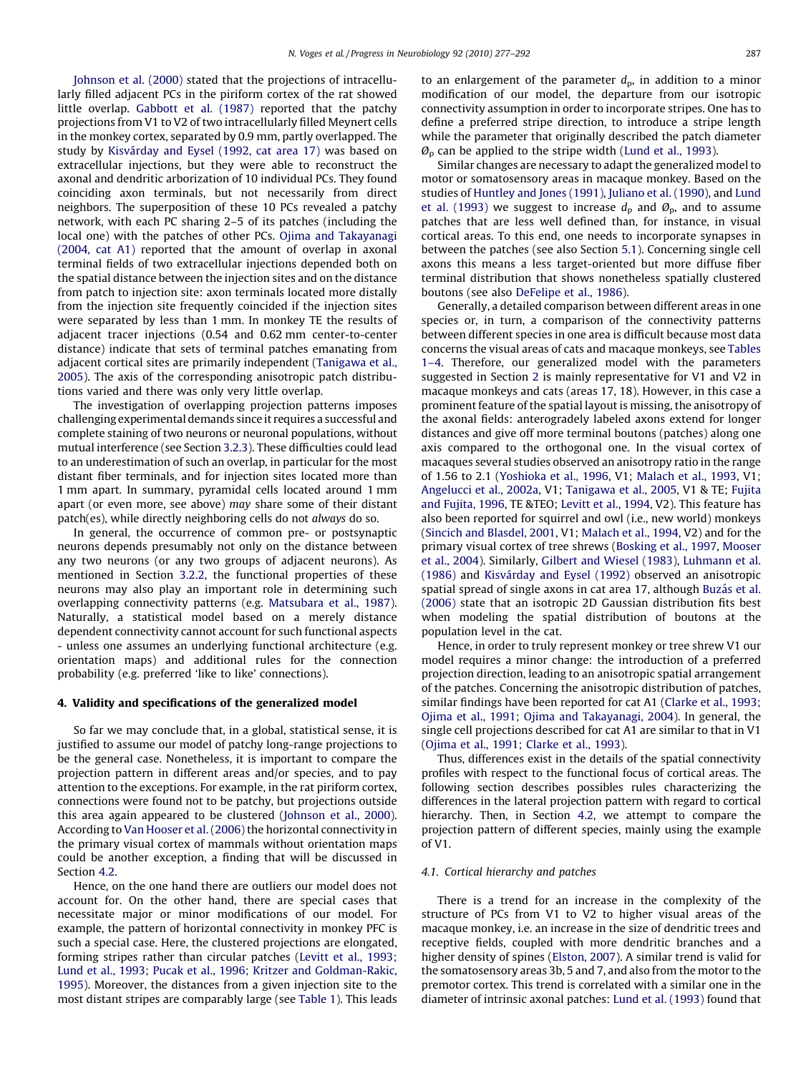<span id="page-10-0"></span>[Johnson et al. \(2000\)](#page-14-0) stated that the projections of intracellularly filled adjacent PCs in the piriform cortex of the rat showed little overlap. [Gabbott et al. \(1987\)](#page-14-0) reported that the patchy projections from V1 to V2 of two intracellularly filled Meynert cells in the monkey cortex, separated by 0.9 mm, partly overlapped. The study by Kisvá[rday and Eysel \(1992, cat area 17\)](#page-14-0) was based on extracellular injections, but they were able to reconstruct the axonal and dendritic arborization of 10 individual PCs. They found coinciding axon terminals, but not necessarily from direct neighbors. The superposition of these 10 PCs revealed a patchy network, with each PC sharing 2–5 of its patches (including the local one) with the patches of other PCs. [Ojima and Takayanagi](#page-15-0) [\(2004, cat A1\)](#page-15-0) reported that the amount of overlap in axonal terminal fields of two extracellular injections depended both on the spatial distance between the injection sites and on the distance from patch to injection site: axon terminals located more distally from the injection site frequently coincided if the injection sites were separated by less than 1 mm. In monkey TE the results of adjacent tracer injections (0.54 and 0.62 mm center-to-center distance) indicate that sets of terminal patches emanating from adjacent cortical sites are primarily independent [\(Tanigawa et al.,](#page-15-0) [2005\)](#page-15-0). The axis of the corresponding anisotropic patch distributions varied and there was only very little overlap.

The investigation of overlapping projection patterns imposes challenging experimental demands since it requires a successful and complete staining of two neurons or neuronal populations, without mutual interference (see Section [3.2.3](#page-7-0)). These difficulties could lead to an underestimation of such an overlap, in particular for the most distant fiber terminals, and for injection sites located more than 1 mm apart. In summary, pyramidal cells located around 1 mm apart (or even more, see above) may share some of their distant patch(es), while directly neighboring cells do not always do so.

In general, the occurrence of common pre- or postsynaptic neurons depends presumably not only on the distance between any two neurons (or any two groups of adjacent neurons). As mentioned in Section [3.2.2](#page-6-0), the functional properties of these neurons may also play an important role in determining such overlapping connectivity patterns (e.g. [Matsubara et al., 1987\)](#page-15-0). Naturally, a statistical model based on a merely distance dependent connectivity cannot account for such functional aspects - unless one assumes an underlying functional architecture (e.g. orientation maps) and additional rules for the connection probability (e.g. preferred 'like to like' connections).

#### 4. Validity and specifications of the generalized model

So far we may conclude that, in a global, statistical sense, it is justified to assume our model of patchy long-range projections to be the general case. Nonetheless, it is important to compare the projection pattern in different areas and/or species, and to pay attention to the exceptions. For example, in the rat piriform cortex, connections were found not to be patchy, but projections outside this area again appeared to be clustered ([Johnson et al., 2000\)](#page-14-0). According to [Van Hooser et al. \(2006\)](#page-15-0) the horizontal connectivity in the primary visual cortex of mammals without orientation maps could be another exception, a finding that will be discussed in Section [4.2.](#page-11-0)

Hence, on the one hand there are outliers our model does not account for. On the other hand, there are special cases that necessitate major or minor modifications of our model. For example, the pattern of horizontal connectivity in monkey PFC is such a special case. Here, the clustered projections are elongated, forming stripes rather than circular patches [\(Levitt et al., 1993;](#page-14-0) [Lund et al., 1993; Pucak et al., 1996; Kritzer and Goldman-Rakic,](#page-14-0) [1995\)](#page-14-0). Moreover, the distances from a given injection site to the most distant stripes are comparably large (see [Table 1\)](#page-3-0). This leads to an enlargement of the parameter  $d_p$ , in addition to a minor modification of our model, the departure from our isotropic connectivity assumption in order to incorporate stripes. One has to define a preferred stripe direction, to introduce a stripe length while the parameter that originally described the patch diameter  $\mathcal{O}_D$  can be applied to the stripe width [\(Lund et al., 1993](#page-15-0)).

Similar changes are necessary to adapt the generalized model to motor or somatosensory areas in macaque monkey. Based on the studies of [Huntley and Jones \(1991\)](#page-14-0), [Juliano et al. \(1990\),](#page-14-0) and [Lund](#page-15-0) [et al. \(1993\)](#page-15-0) we suggest to increase  $d_p$  and  $\mathcal{O}_p$ , and to assume patches that are less well defined than, for instance, in visual cortical areas. To this end, one needs to incorporate synapses in between the patches (see also Section [5.1](#page-11-0)). Concerning single cell axons this means a less target-oriented but more diffuse fiber terminal distribution that shows nonetheless spatially clustered boutons (see also [DeFelipe et al., 1986](#page-14-0)).

Generally, a detailed comparison between different areas in one species or, in turn, a comparison of the connectivity patterns between different species in one area is difficult because most data concerns the visual areas of cats and macaque monkeys, see [Tables](#page-3-0) [1–4.](#page-3-0) Therefore, our generalized model with the parameters suggested in Section [2](#page-2-0) is mainly representative for V1 and V2 in macaque monkeys and cats (areas 17, 18). However, in this case a prominent feature of the spatial layout is missing, the anisotropy of the axonal fields: anterogradely labeled axons extend for longer distances and give off more terminal boutons (patches) along one axis compared to the orthogonal one. In the visual cortex of macaques several studies observed an anisotropy ratio in the range of 1.56 to 2.1 [\(Yoshioka et al., 1996,](#page-15-0) V1; [Malach et al., 1993,](#page-15-0) V1; [Angelucci et al., 2002a](#page-13-0), V1; [Tanigawa et al., 2005](#page-15-0), V1 & TE; [Fujita](#page-14-0) [and Fujita, 1996,](#page-14-0) TE &TEO; [Levitt et al., 1994](#page-14-0), V2). This feature has also been reported for squirrel and owl (i.e., new world) monkeys ([Sincich and Blasdel, 2001,](#page-15-0) V1; [Malach et al., 1994,](#page-15-0) V2) and for the primary visual cortex of tree shrews ([Bosking et al., 1997,](#page-14-0) [Mooser](#page-15-0) [et al., 2004](#page-15-0)). Similarly, [Gilbert and Wiesel \(1983\)](#page-14-0), [Luhmann et al.](#page-15-0)  $(1986)$  and Kisvárday and Eysel  $(1992)$  observed an anisotropic spatial spread of single axons in cat area 17, although Buzá[s et al.](#page-14-0) [\(2006\)](#page-14-0) state that an isotropic 2D Gaussian distribution fits best when modeling the spatial distribution of boutons at the population level in the cat.

Hence, in order to truly represent monkey or tree shrew V1 our model requires a minor change: the introduction of a preferred projection direction, leading to an anisotropic spatial arrangement of the patches. Concerning the anisotropic distribution of patches, similar findings have been reported for cat A1 ([Clarke et al., 1993;](#page-14-0) [Ojima et al., 1991; Ojima and Takayanagi, 2004\)](#page-14-0). In general, the single cell projections described for cat A1 are similar to that in V1 ([Ojima et al., 1991; Clarke et al., 1993\)](#page-15-0).

Thus, differences exist in the details of the spatial connectivity profiles with respect to the functional focus of cortical areas. The following section describes possibles rules characterizing the differences in the lateral projection pattern with regard to cortical hierarchy. Then, in Section [4.2,](#page-11-0) we attempt to compare the projection pattern of different species, mainly using the example of V1.

## 4.1. Cortical hierarchy and patches

There is a trend for an increase in the complexity of the structure of PCs from V1 to V2 to higher visual areas of the macaque monkey, i.e. an increase in the size of dendritic trees and receptive fields, coupled with more dendritic branches and a higher density of spines [\(Elston, 2007](#page-14-0)). A similar trend is valid for the somatosensory areas 3b, 5 and 7, and also from the motor to the premotor cortex. This trend is correlated with a similar one in the diameter of intrinsic axonal patches: [Lund et al. \(1993\)](#page-15-0) found that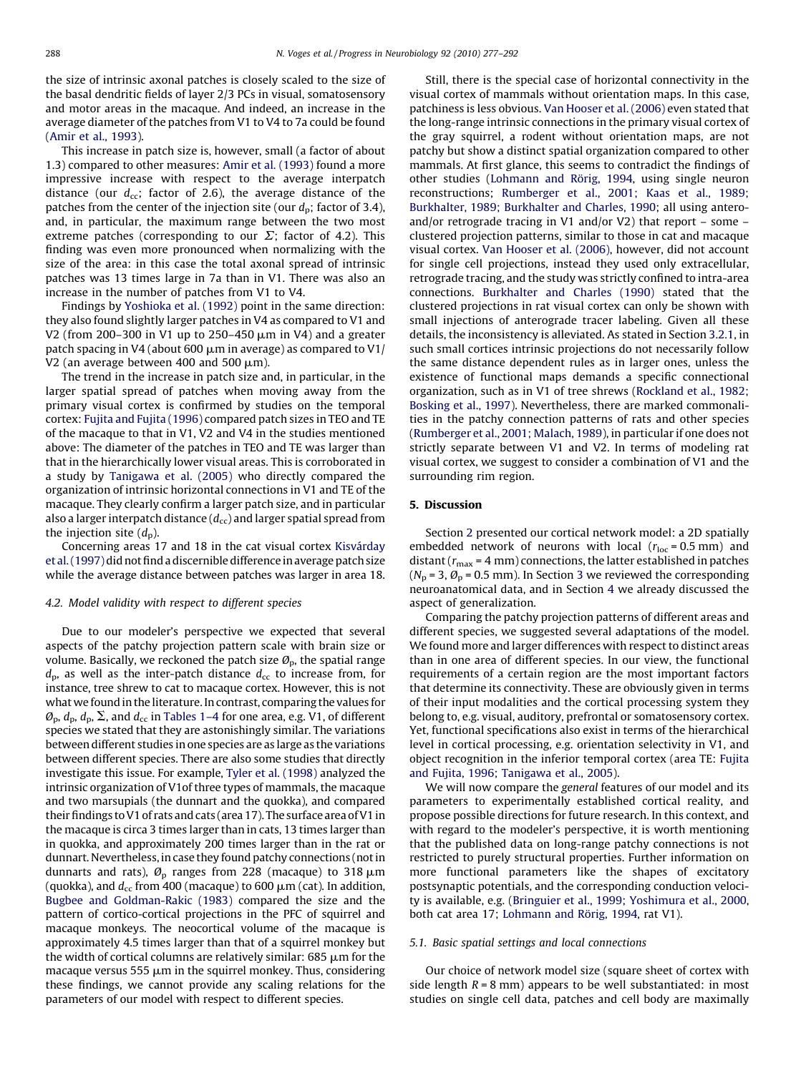<span id="page-11-0"></span>the size of intrinsic axonal patches is closely scaled to the size of the basal dendritic fields of layer 2/3 PCs in visual, somatosensory and motor areas in the macaque. And indeed, an increase in the average diameter of the patches from V1 to V4 to 7a could be found ([Amir et al., 1993](#page-13-0)).

This increase in patch size is, however, small (a factor of about 1.3) compared to other measures: [Amir et al. \(1993\)](#page-13-0) found a more impressive increase with respect to the average interpatch distance (our  $d_{cc}$ ; factor of 2.6), the average distance of the patches from the center of the injection site (our  $d_p$ ; factor of 3.4), and, in particular, the maximum range between the two most extreme patches (corresponding to our  $\Sigma$ ; factor of 4.2). This finding was even more pronounced when normalizing with the size of the area: in this case the total axonal spread of intrinsic patches was 13 times large in 7a than in V1. There was also an increase in the number of patches from V1 to V4.

Findings by [Yoshioka et al. \(1992\)](#page-15-0) point in the same direction: they also found slightly larger patches in V4 as compared to V1 and V2 (from 200–300 in V1 up to 250–450  $\mu$ m in V4) and a greater patch spacing in V4 (about 600  $\mu$ m in average) as compared to V1/ V2 (an average between 400 and 500  $\mu$ m).

The trend in the increase in patch size and, in particular, in the larger spatial spread of patches when moving away from the primary visual cortex is confirmed by studies on the temporal cortex: [Fujita and Fujita \(1996\)](#page-14-0) compared patch sizes in TEO and TE of the macaque to that in V1, V2 and V4 in the studies mentioned above: The diameter of the patches in TEO and TE was larger than that in the hierarchically lower visual areas. This is corroborated in a study by [Tanigawa et al. \(2005\)](#page-15-0) who directly compared the organization of intrinsic horizontal connections in V1 and TE of the macaque. They clearly confirm a larger patch size, and in particular also a larger interpatch distance  $(d_{cc})$  and larger spatial spread from the injection site  $(d_n)$ .

Concerning areas 17 and 18 in the cat visual cortex Kisvárday [et al. \(1997\)](#page-14-0) did not find a discernible difference in average patch size while the average distance between patches was larger in area 18.

#### 4.2. Model validity with respect to different species

Due to our modeler's perspective we expected that several aspects of the patchy projection pattern scale with brain size or volume. Basically, we reckoned the patch size  $\mathcal{O}_p$ , the spatial range  $d_{\rm p}$ , as well as the inter-patch distance  $d_{\rm cc}$  to increase from, for instance, tree shrew to cat to macaque cortex. However, this is not what we found in the literature. In contrast, comparing the values for  $\mathcal{O}_{\rm p}$ ,  $d_{\rm p}$ ,  $d_{\rm p}$ ,  $\Sigma$ , and  $d_{\rm cc}$  in [Tables 1–4](#page-3-0) for one area, e.g. V1, of different species we stated that they are astonishingly similar. The variations between different studies in one species are as large as the variations between different species. There are also some studies that directly investigate this issue. For example, [Tyler et al. \(1998\)](#page-15-0) analyzed the intrinsic organization of V1of three types of mammals, the macaque and two marsupials (the dunnart and the quokka), and compared their findings to V1 of rats and cats (area 17). The surface area of V1 in the macaque is circa 3 times larger than in cats, 13 times larger than in quokka, and approximately 200 times larger than in the rat or dunnart. Nevertheless, in case they found patchy connections (not in dunnarts and rats),  $\varnothing$ <sub>p</sub> ranges from 228 (macaque) to 318  $\mu$ m (quokka), and  $d_{cc}$  from 400 (macaque) to 600  $\mu$ m (cat). In addition, [Bugbee and Goldman-Rakic \(1983\)](#page-14-0) compared the size and the pattern of cortico-cortical projections in the PFC of squirrel and macaque monkeys. The neocortical volume of the macaque is approximately 4.5 times larger than that of a squirrel monkey but the width of cortical columns are relatively similar:  $685 \mu m$  for the macaque versus 555  $\mu$ m in the squirrel monkey. Thus, considering these findings, we cannot provide any scaling relations for the parameters of our model with respect to different species.

Still, there is the special case of horizontal connectivity in the visual cortex of mammals without orientation maps. In this case, patchiness is less obvious. [Van Hooser et al. \(2006\)](#page-15-0) even stated that the long-range intrinsic connections in the primary visual cortex of the gray squirrel, a rodent without orientation maps, are not patchy but show a distinct spatial organization compared to other mammals. At first glance, this seems to contradict the findings of other studies (Lohmann and Rörig, 1994, using single neuron reconstructions; [Rumberger et al., 2001; Kaas et al., 1989;](#page-15-0) [Burkhalter, 1989; Burkhalter and Charles, 1990;](#page-15-0) all using anteroand/or retrograde tracing in V1 and/or V2) that report – some – clustered projection patterns, similar to those in cat and macaque visual cortex. [Van Hooser et al. \(2006\),](#page-15-0) however, did not account for single cell projections, instead they used only extracellular, retrograde tracing, and the study was strictly confined to intra-area connections. [Burkhalter and Charles \(1990\)](#page-14-0) stated that the clustered projections in rat visual cortex can only be shown with small injections of anterograde tracer labeling. Given all these details, the inconsistency is alleviated. As stated in Section [3.2.1,](#page-5-0) in such small cortices intrinsic projections do not necessarily follow the same distance dependent rules as in larger ones, unless the existence of functional maps demands a specific connectional organization, such as in V1 of tree shrews [\(Rockland et al., 1982;](#page-15-0) [Bosking et al., 1997\)](#page-15-0). Nevertheless, there are marked commonalities in the patchy connection patterns of rats and other species ([Rumberger et al., 2001; Malach, 1989](#page-15-0)), in particular if one does not strictly separate between V1 and V2. In terms of modeling rat visual cortex, we suggest to consider a combination of V1 and the surrounding rim region.

## 5. Discussion

Section [2](#page-2-0) presented our cortical network model: a 2D spatially embedded network of neurons with local ( $r_{\text{loc}}$  = 0.5 mm) and distant ( $r_{\text{max}}$  = 4 mm) connections, the latter established in patches ( $N_p$  = [3](#page-4-0),  $\mathcal{O}_p$  = 0.5 mm). In Section 3 we reviewed the corresponding neuroanatomical data, and in Section [4](#page-10-0) we already discussed the aspect of generalization.

Comparing the patchy projection patterns of different areas and different species, we suggested several adaptations of the model. We found more and larger differences with respect to distinct areas than in one area of different species. In our view, the functional requirements of a certain region are the most important factors that determine its connectivity. These are obviously given in terms of their input modalities and the cortical processing system they belong to, e.g. visual, auditory, prefrontal or somatosensory cortex. Yet, functional specifications also exist in terms of the hierarchical level in cortical processing, e.g. orientation selectivity in V1, and object recognition in the inferior temporal cortex (area TE: [Fujita](#page-14-0) [and Fujita, 1996; Tanigawa et al., 2005](#page-14-0)).

We will now compare the general features of our model and its parameters to experimentally established cortical reality, and propose possible directions for future research. In this context, and with regard to the modeler's perspective, it is worth mentioning that the published data on long-range patchy connections is not restricted to purely structural properties. Further information on more functional parameters like the shapes of excitatory postsynaptic potentials, and the corresponding conduction velocity is available, e.g. ([Bringuier et al., 1999; Yoshimura et al., 2000,](#page-14-0) both cat area 17; Lohmann and Rörig, 1994, rat V1).

## 5.1. Basic spatial settings and local connections

Our choice of network model size (square sheet of cortex with side length  $R = 8$  mm) appears to be well substantiated: in most studies on single cell data, patches and cell body are maximally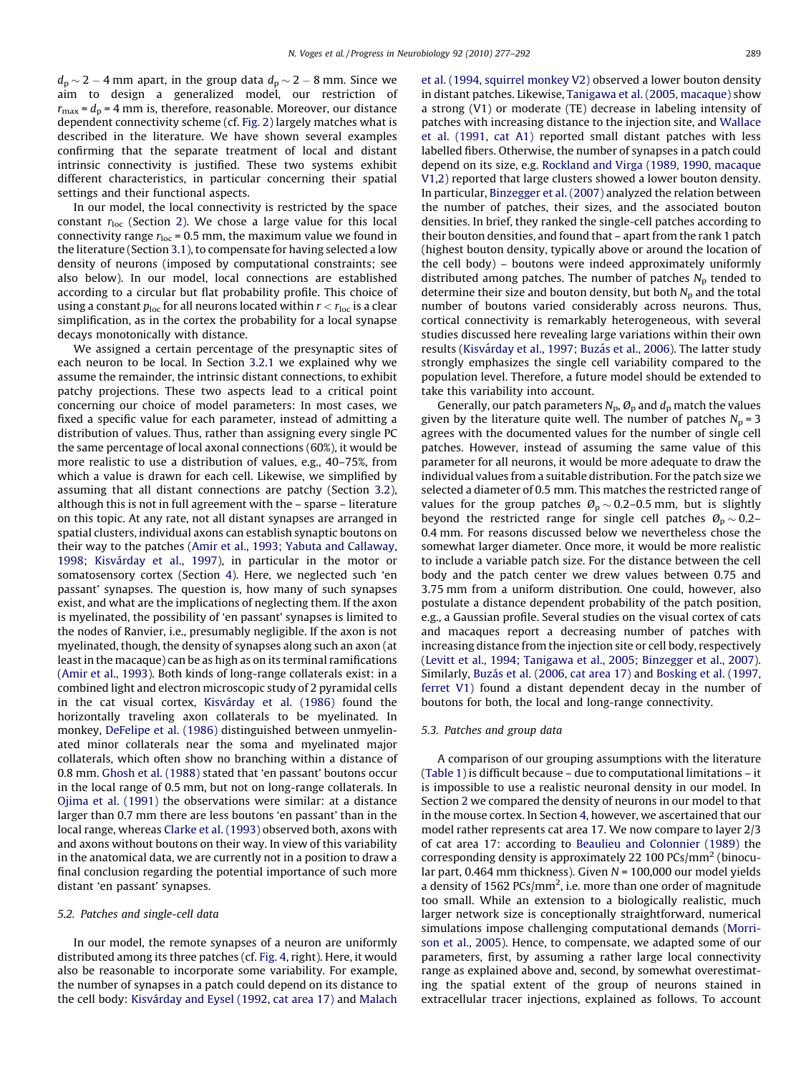$d_p \sim 2 - 4$  mm apart, in the group data  $d_p \sim 2 - 8$  mm. Since we aim to design a generalized model, our restriction of  $r_{\text{max}} = d_{\text{p}} = 4$  mm is, therefore, reasonable. Moreover, our distance dependent connectivity scheme (cf. [Fig. 2\)](#page-4-0) largely matches what is described in the literature. We have shown several examples confirming that the separate treatment of local and distant intrinsic connectivity is justified. These two systems exhibit different characteristics, in particular concerning their spatial settings and their functional aspects.

In our model, the local connectivity is restricted by the space constant  $r_{\text{loc}}$  (Section [2\)](#page-2-0). We chose a large value for this local connectivity range  $r_{\text{loc}}$  = 0.5 mm, the maximum value we found in the literature (Section [3.1\)](#page-4-0), to compensate for having selected a low density of neurons (imposed by computational constraints; see also below). In our model, local connections are established according to a circular but flat probability profile. This choice of using a constant  $p_{\text{loc}}$  for all neurons located within  $r < r_{\text{loc}}$  is a clear simplification, as in the cortex the probability for a local synapse decays monotonically with distance.

We assigned a certain percentage of the presynaptic sites of each neuron to be local. In Section [3.2.1](#page-5-0) we explained why we assume the remainder, the intrinsic distant connections, to exhibit patchy projections. These two aspects lead to a critical point concerning our choice of model parameters: In most cases, we fixed a specific value for each parameter, instead of admitting a distribution of values. Thus, rather than assigning every single PC the same percentage of local axonal connections (60%), it would be more realistic to use a distribution of values, e.g., 40–75%, from which a value is drawn for each cell. Likewise, we simplified by assuming that all distant connections are patchy (Section [3.2\)](#page-5-0), although this is not in full agreement with the – sparse – literature on this topic. At any rate, not all distant synapses are arranged in spatial clusters, individual axons can establish synaptic boutons on their way to the patches ([Amir et al., 1993; Yabuta and Callaway,](#page-13-0) 1998; Kisvá[rday et al., 1997\)](#page-13-0), in particular in the motor or somatosensory cortex (Section [4](#page-10-0)). Here, we neglected such 'en passant' synapses. The question is, how many of such synapses exist, and what are the implications of neglecting them. If the axon is myelinated, the possibility of 'en passant' synapses is limited to the nodes of Ranvier, i.e., presumably negligible. If the axon is not myelinated, though, the density of synapses along such an axon (at least in the macaque) can be as high as on its terminal ramifications ([Amir et al., 1993](#page-13-0)). Both kinds of long-range collaterals exist: in a combined light and electron microscopic study of 2 pyramidal cells in the cat visual cortex, Kisvá[rday et al. \(1986\)](#page-14-0) found the horizontally traveling axon collaterals to be myelinated. In monkey, [DeFelipe et al. \(1986\)](#page-14-0) distinguished between unmyelinated minor collaterals near the soma and myelinated major collaterals, which often show no branching within a distance of 0.8 mm. [Ghosh et al. \(1988\)](#page-14-0) stated that 'en passant' boutons occur in the local range of 0.5 mm, but not on long-range collaterals. In [Ojima et al. \(1991\)](#page-15-0) the observations were similar: at a distance larger than 0.7 mm there are less boutons 'en passant' than in the local range, whereas [Clarke et al. \(1993\)](#page-14-0) observed both, axons with and axons without boutons on their way. In view of this variability in the anatomical data, we are currently not in a position to draw a final conclusion regarding the potential importance of such more distant 'en passant' synapses.

# 5.2. Patches and single-cell data

In our model, the remote synapses of a neuron are uniformly distributed among its three patches (cf. [Fig. 4,](#page-9-0) right). Here, it would also be reasonable to incorporate some variability. For example, the number of synapses in a patch could depend on its distance to the cell body: Kisvá[rday and Eysel \(1992, cat area 17\)](#page-14-0) and [Malach](#page-15-0) [et al. \(1994, squirrel monkey V2\)](#page-15-0) observed a lower bouton density in distant patches. Likewise, [Tanigawa et al. \(2005, macaque\)](#page-15-0) show a strong (V1) or moderate (TE) decrease in labeling intensity of patches with increasing distance to the injection site, and [Wallace](#page-15-0) [et al. \(1991, cat A1\)](#page-15-0) reported small distant patches with less labelled fibers. Otherwise, the number of synapses in a patch could depend on its size, e.g. [Rockland and Virga \(1989, 1990, macaque](#page-15-0) [V1,2\)](#page-15-0) reported that large clusters showed a lower bouton density. In particular, [Binzegger et al. \(2007\)](#page-14-0) analyzed the relation between the number of patches, their sizes, and the associated bouton densities. In brief, they ranked the single-cell patches according to their bouton densities, and found that – apart from the rank 1 patch (highest bouton density, typically above or around the location of the cell body) – boutons were indeed approximately uniformly distributed among patches. The number of patches  $N_p$  tended to determine their size and bouton density, but both  $N_p$  and the total number of boutons varied considerably across neurons. Thus, cortical connectivity is remarkably heterogeneous, with several studies discussed here revealing large variations within their own results (Kisvárday et al., 1997; Buzás et al., 2006). The latter study strongly emphasizes the single cell variability compared to the population level. Therefore, a future model should be extended to take this variability into account.

Generally, our patch parameters  $N_p$ ,  $\mathcal{O}_p$  and  $d_p$  match the values given by the literature quite well. The number of patches  $N_p = 3$ agrees with the documented values for the number of single cell patches. However, instead of assuming the same value of this parameter for all neurons, it would be more adequate to draw the individual values from a suitable distribution. For the patch size we selected a diameter of 0.5 mm. This matches the restricted range of values for the group patches  $\mathcal{O}_p \sim 0.2$ –0.5 mm, but is slightly beyond the restricted range for single cell patches  $\mathcal{O}_p \sim 0.2$ -0.4 mm. For reasons discussed below we nevertheless chose the somewhat larger diameter. Once more, it would be more realistic to include a variable patch size. For the distance between the cell body and the patch center we drew values between 0.75 and 3.75 mm from a uniform distribution. One could, however, also postulate a distance dependent probability of the patch position, e.g., a Gaussian profile. Several studies on the visual cortex of cats and macaques report a decreasing number of patches with increasing distance from the injection site or cell body, respectively ([Levitt et al., 1994; Tanigawa et al., 2005; Binzegger et al., 2007\)](#page-14-0). Similarly, Buzá[s et al. \(2006, cat area 17\)](#page-14-0) and [Bosking et al. \(1997,](#page-14-0) [ferret V1\)](#page-14-0) found a distant dependent decay in the number of boutons for both, the local and long-range connectivity.

# 5.3. Patches and group data

A comparison of our grouping assumptions with the literature ([Table 1\)](#page-3-0) is difficult because – due to computational limitations – it is impossible to use a realistic neuronal density in our model. In Section [2](#page-2-0) we compared the density of neurons in our model to that in the mouse cortex. In Section [4](#page-10-0), however, we ascertained that our model rather represents cat area 17. We now compare to layer 2/3 of cat area 17: according to [Beaulieu and Colonnier \(1989\)](#page-14-0) the corresponding density is approximately 22 100 PCs/mm<sup>2</sup> (binocular part, 0.464 mm thickness). Given  $N = 100,000$  our model yields a density of 1562  $PCs/mm^2$ , i.e. more than one order of magnitude too small. While an extension to a biologically realistic, much larger network size is conceptionally straightforward, numerical simulations impose challenging computational demands ([Morri](#page-15-0)[son et al., 2005\)](#page-15-0). Hence, to compensate, we adapted some of our parameters, first, by assuming a rather large local connectivity range as explained above and, second, by somewhat overestimating the spatial extent of the group of neurons stained in extracellular tracer injections, explained as follows. To account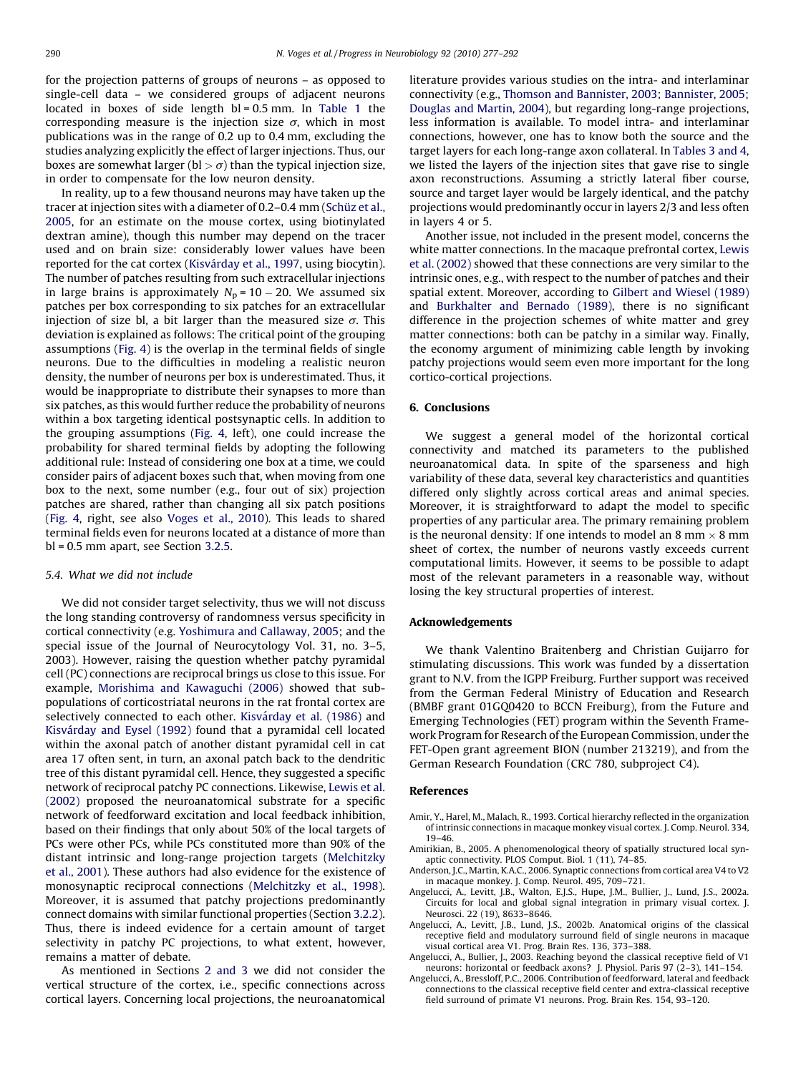<span id="page-13-0"></span>for the projection patterns of groups of neurons – as opposed to single-cell data – we considered groups of adjacent neurons located in boxes of side length  $bl = 0.5$  mm. In [Table 1](#page-3-0) the corresponding measure is the injection size  $\sigma$ , which in most publications was in the range of 0.2 up to 0.4 mm, excluding the studies analyzing explicitly the effect of larger injections. Thus, our boxes are somewhat larger (bl  $> \sigma$ ) than the typical injection size, in order to compensate for the low neuron density.

In reality, up to a few thousand neurons may have taken up the tracer at injection sites with a diameter of 0.2–0.4 mm (Schü[z et al.,](#page-15-0) [2005,](#page-15-0) for an estimate on the mouse cortex, using biotinylated dextran amine), though this number may depend on the tracer used and on brain size: considerably lower values have been reported for the cat cortex (Kisvá[rday et al., 1997](#page-14-0), using biocytin). The number of patches resulting from such extracellular injections in large brains is approximately  $N_p = 10 - 20$ . We assumed six patches per box corresponding to six patches for an extracellular injection of size bl, a bit larger than the measured size  $\sigma$ . This deviation is explained as follows: The critical point of the grouping assumptions ([Fig. 4](#page-9-0)) is the overlap in the terminal fields of single neurons. Due to the difficulties in modeling a realistic neuron density, the number of neurons per box is underestimated. Thus, it would be inappropriate to distribute their synapses to more than six patches, as this would further reduce the probability of neurons within a box targeting identical postsynaptic cells. In addition to the grouping assumptions [\(Fig. 4](#page-9-0), left), one could increase the probability for shared terminal fields by adopting the following additional rule: Instead of considering one box at a time, we could consider pairs of adjacent boxes such that, when moving from one box to the next, some number (e.g., four out of six) projection patches are shared, rather than changing all six patch positions ([Fig. 4,](#page-9-0) right, see also [Voges et al., 2010](#page-15-0)). This leads to shared terminal fields even for neurons located at a distance of more than bl = 0.5 mm apart, see Section [3.2.5](#page-9-0).

#### 5.4. What we did not include

We did not consider target selectivity, thus we will not discuss the long standing controversy of randomness versus specificity in cortical connectivity (e.g. [Yoshimura and Callaway, 2005](#page-15-0); and the special issue of the Journal of Neurocytology Vol. 31, no. 3–5, 2003). However, raising the question whether patchy pyramidal cell (PC) connections are reciprocal brings us close to this issue. For example, [Morishima and Kawaguchi \(2006\)](#page-15-0) showed that subpopulations of corticostriatal neurons in the rat frontal cortex are selectively connected to each other. Kisvá[rday et al. \(1986\)](#page-14-0) and Kisvá[rday and Eysel \(1992\)](#page-14-0) found that a pyramidal cell located within the axonal patch of another distant pyramidal cell in cat area 17 often sent, in turn, an axonal patch back to the dendritic tree of this distant pyramidal cell. Hence, they suggested a specific network of reciprocal patchy PC connections. Likewise, [Lewis et al.](#page-14-0) [\(2002\)](#page-14-0) proposed the neuroanatomical substrate for a specific network of feedforward excitation and local feedback inhibition, based on their findings that only about 50% of the local targets of PCs were other PCs, while PCs constituted more than 90% of the distant intrinsic and long-range projection targets [\(Melchitzky](#page-15-0) [et al., 2001](#page-15-0)). These authors had also evidence for the existence of monosynaptic reciprocal connections [\(Melchitzky et al., 1998\)](#page-15-0). Moreover, it is assumed that patchy projections predominantly connect domains with similar functional properties (Section [3.2.2\)](#page-6-0). Thus, there is indeed evidence for a certain amount of target selectivity in patchy PC projections, to what extent, however, remains a matter of debate.

As mentioned in Sections [2 and 3](#page-2-0) we did not consider the vertical structure of the cortex, i.e., specific connections across cortical layers. Concerning local projections, the neuroanatomical literature provides various studies on the intra- and interlaminar connectivity (e.g., [Thomson and Bannister, 2003; Bannister, 2005;](#page-15-0) [Douglas and Martin, 2004\)](#page-15-0), but regarding long-range projections, less information is available. To model intra- and interlaminar connections, however, one has to know both the source and the target layers for each long-range axon collateral. In [Tables 3 and 4,](#page-8-0) we listed the layers of the injection sites that gave rise to single axon reconstructions. Assuming a strictly lateral fiber course, source and target layer would be largely identical, and the patchy projections would predominantly occur in layers 2/3 and less often in layers 4 or 5.

Another issue, not included in the present model, concerns the white matter connections. In the macaque prefrontal cortex, [Lewis](#page-14-0) [et al. \(2002\)](#page-14-0) showed that these connections are very similar to the intrinsic ones, e.g., with respect to the number of patches and their spatial extent. Moreover, according to [Gilbert and Wiesel \(1989\)](#page-14-0) and [Burkhalter and Bernado \(1989\)](#page-14-0), there is no significant difference in the projection schemes of white matter and grey matter connections: both can be patchy in a similar way. Finally, the economy argument of minimizing cable length by invoking patchy projections would seem even more important for the long cortico-cortical projections.

# 6. Conclusions

We suggest a general model of the horizontal cortical connectivity and matched its parameters to the published neuroanatomical data. In spite of the sparseness and high variability of these data, several key characteristics and quantities differed only slightly across cortical areas and animal species. Moreover, it is straightforward to adapt the model to specific properties of any particular area. The primary remaining problem is the neuronal density: If one intends to model an 8 mm  $\times$  8 mm sheet of cortex, the number of neurons vastly exceeds current computational limits. However, it seems to be possible to adapt most of the relevant parameters in a reasonable way, without losing the key structural properties of interest.

## Acknowledgements

We thank Valentino Braitenberg and Christian Guijarro for stimulating discussions. This work was funded by a dissertation grant to N.V. from the IGPP Freiburg. Further support was received from the German Federal Ministry of Education and Research (BMBF grant 01GQ0420 to BCCN Freiburg), from the Future and Emerging Technologies (FET) program within the Seventh Framework Program for Research of the European Commission, under the FET-Open grant agreement BION (number 213219), and from the German Research Foundation (CRC 780, subproject C4).

#### References

- Amir, Y., Harel, M., Malach, R., 1993. Cortical hierarchy reflected in the organization of intrinsic connections in macaque monkey visual cortex. J. Comp. Neurol. 334, 19–46.
- Amirikian, B., 2005. A phenomenological theory of spatially structured local synaptic connectivity. PLOS Comput. Biol. 1 (11), 74–85.
- Anderson, J.C., Martin, K.A.C., 2006. Synaptic connections from cortical area V4 to V2 in macaque monkey. J. Comp. Neurol. 495, 709–721.
- Angelucci, A., Levitt, J.B., Walton, E.J.S., Hupe, J.M., Bullier, J., Lund, J.S., 2002a. Circuits for local and global signal integration in primary visual cortex. J. Neurosci. 22 (19), 8633–8646.
- Angelucci, A., Levitt, J.B., Lund, J.S., 2002b. Anatomical origins of the classical receptive field and modulatory surround field of single neurons in macaque visual cortical area V1. Prog. Brain Res. 136, 373–388.
- Angelucci, A., Bullier, J., 2003. Reaching beyond the classical receptive field of V1 neurons: horizontal or feedback axons? J. Physiol. Paris 97 (2–3), 141–154.
- Angelucci, A., Bressloff, P.C., 2006. Contribution of feedforward, lateral and feedback connections to the classical receptive field center and extra-classical receptive field surround of primate V1 neurons. Prog. Brain Res. 154, 93–120.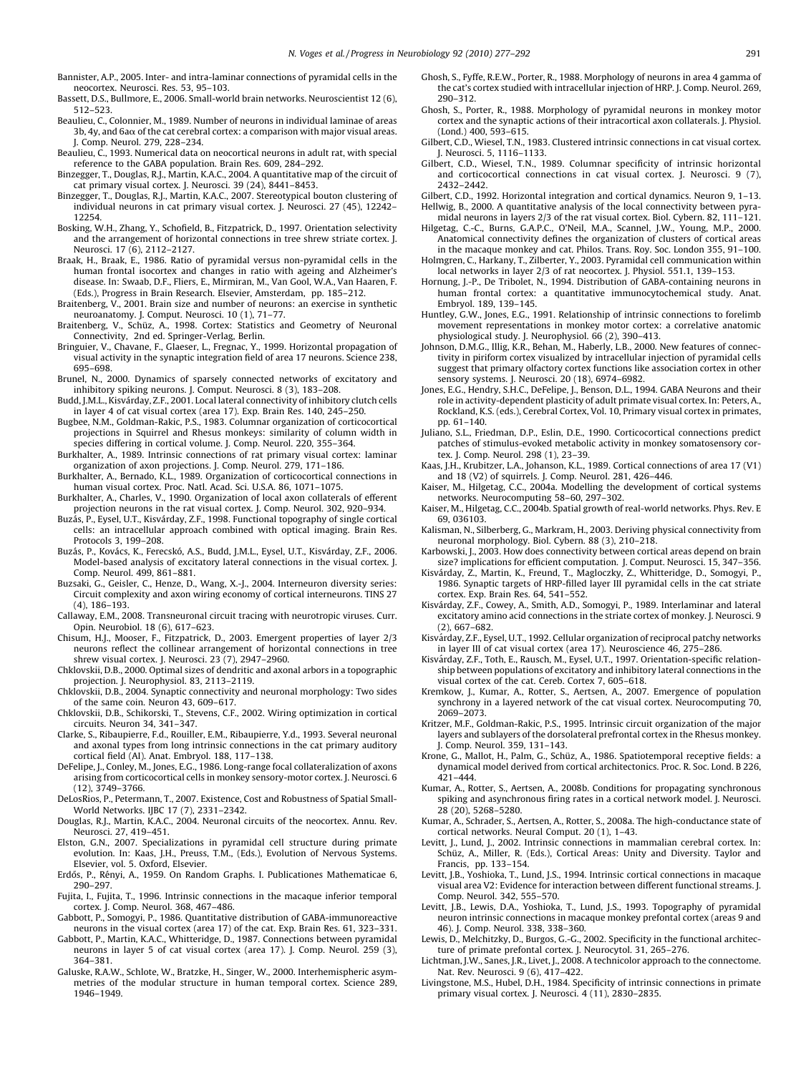- <span id="page-14-0"></span>Bannister, A.P., 2005. Inter- and intra-laminar connections of pyramidal cells in the neocortex. Neurosci. Res. 53, 95–103.
- Bassett, D.S., Bullmore, E., 2006. Small-world brain networks. Neuroscientist 12 (6), 512–523.
- Beaulieu, C., Colonnier, M., 1989. Number of neurons in individual laminae of areas  $3b$ ,  $4y$ , and  $6a\alpha$  of the cat cerebral cortex: a comparison with major visual areas. J. Comp. Neurol. 279, 228–234.
- Beaulieu, C., 1993. Numerical data on neocortical neurons in adult rat, with special reference to the GABA population. Brain Res. 609, 284–292.
- Binzegger, T., Douglas, R.J., Martin, K.A.C., 2004. A quantitative map of the circuit of cat primary visual cortex. J. Neurosci. 39 (24), 8441–8453.
- Binzegger, T., Douglas, R.J., Martin, K.A.C., 2007. Stereotypical bouton clustering of individual neurons in cat primary visual cortex. J. Neurosci. 27 (45), 12242– 12254.
- Bosking, W.H., Zhang, Y., Schofield, B., Fitzpatrick, D., 1997. Orientation selectivity and the arrangement of horizontal connections in tree shrew striate cortex. J. Neurosci. 17 (6), 2112–2127.
- Braak, H., Braak, E., 1986. Ratio of pyramidal versus non-pyramidal cells in the human frontal isocortex and changes in ratio with ageing and Alzheimer's disease. In: Swaab, D.F., Fliers, E., Mirmiran, M., Van Gool, W.A., Van Haaren, F. (Eds.), Progress in Brain Research. Elsevier, Amsterdam, pp. 185–212.
- Braitenberg, V., 2001. Brain size and number of neurons: an exercise in synthetic neuroanatomy. J. Comput. Neurosci. 10 (1), 71–77.
- Braitenberg, V., Schüz, A., 1998. Cortex: Statistics and Geometry of Neuronal Connectivity, 2nd ed. Springer-Verlag, Berlin.
- Bringuier, V., Chavane, F., Glaeser, L., Fregnac, Y., 1999. Horizontal propagation of visual activity in the synaptic integration field of area 17 neurons. Science 238, 695–698.
- Brunel, N., 2000. Dynamics of sparsely connected networks of excitatory and inhibitory spiking neurons. J. Comput. Neurosci. 8 (3), 183–208.
- Budd, J.M.L., Kisvárday, Z.F., 2001. Local lateral connectivity of inhibitory clutch cells in layer 4 of cat visual cortex (area 17). Exp. Brain Res. 140, 245–250.
- Bugbee, N.M., Goldman-Rakic, P.S., 1983. Columnar organization of corticocortical projections in Squirrel and Rhesus monkeys: similarity of column width in species differing in cortical volume. J. Comp. Neurol. 220, 355–364.
- Burkhalter, A., 1989. Intrinsic connections of rat primary visual cortex: laminar organization of axon projections. J. Comp. Neurol. 279, 171–186.
- Burkhalter, A., Bernado, K.L., 1989. Organization of corticocortical connections in human visual cortex. Proc. Natl. Acad. Sci. U.S.A. 86, 1071–1075.
- Burkhalter, A., Charles, V., 1990. Organization of local axon collaterals of efferent projection neurons in the rat visual cortex. J. Comp. Neurol. 302, 920–934.
- Buzás, P., Eysel, U.T., Kisvárday, Z.F., 1998. Functional topography of single cortical cells: an intracellular approach combined with optical imaging. Brain Res. Protocols 3, 199–208.
- Buzás, P., Kovács, K., Ferecskó, A.S., Budd, J.M.L., Eysel, U.T., Kisvárday, Z.F., 2006. Model-based analysis of excitatory lateral connections in the visual cortex. J. Comp. Neurol. 499, 861–881.
- Buzsaki, G., Geisler, C., Henze, D., Wang, X.-J., 2004. Interneuron diversity series: Circuit complexity and axon wiring economy of cortical interneurons. TINS 27  $(4)$ , 186–193
- Callaway, E.M., 2008. Transneuronal circuit tracing with neurotropic viruses. Curr. Opin. Neurobiol. 18 (6), 617–623.
- Chisum, H.J., Mooser, F., Fitzpatrick, D., 2003. Emergent properties of layer 2/3 neurons reflect the collinear arrangement of horizontal connections in tree shrew visual cortex. J. Neurosci. 23 (7), 2947–2960.
- Chklovskii, D.B., 2000. Optimal sizes of dendritic and axonal arbors in a topographic projection. J. Neurophysiol. 83, 2113–2119.
- Chklovskii, D.B., 2004. Synaptic connectivity and neuronal morphology: Two sides of the same coin. Neuron 43, 609–617.
- Chklovskii, D.B., Schikorski, T., Stevens, C.F., 2002. Wiring optimization in cortical circuits. Neuron 34, 341–347.
- Clarke, S., Ribaupierre, F.d., Rouiller, E.M., Ribaupierre, Y.d., 1993. Several neuronal and axonal types from long intrinsic connections in the cat primary auditory cortical field (AI). Anat. Embryol. 188, 117–138.
- DeFelipe, J., Conley, M., Jones, E.G., 1986. Long-range focal collateralization of axons arising from corticocortical cells in monkey sensory-motor cortex. J. Neurosci. 6 (12), 3749–3766.
- DeLosRios, P., Petermann, T., 2007. Existence, Cost and Robustness of Spatial Small-World Networks. IJBC 17 (7), 2331–2342.
- Douglas, R.J., Martin, K.A.C., 2004. Neuronal circuits of the neocortex. Annu. Rev. Neurosci. 27, 419–451.
- Elston, G.N., 2007. Specializations in pyramidal cell structure during primate evolution. In: Kaas, J.H., Preuss, T.M., (Eds.), Evolution of Nervous Systems. Elsevier, vol. 5. Oxford, Elsevier.
- Erdős, P., Rényi, A., 1959. On Random Graphs. I. Publicationes Mathematicae 6, 290–297.
- Fujita, I., Fujita, T., 1996. Intrinsic connections in the macaque inferior temporal cortex. J. Comp. Neurol. 368, 467–486.
- Gabbott, P., Somogyi, P., 1986. Quantitative distribution of GABA-immunoreactive neurons in the visual cortex (area 17) of the cat. Exp. Brain Res. 61, 323–331.
- Gabbott, P., Martin, K.A.C., Whitteridge, D., 1987. Connections between pyramidal neurons in layer 5 of cat visual cortex (area 17). J. Comp. Neurol. 259 (3), 364–381.
- Galuske, R.A.W., Schlote, W., Bratzke, H., Singer, W., 2000. Interhemispheric asymmetries of the modular structure in human temporal cortex. Science 289, 1946–1949.
- Ghosh, S., Fyffe, R.E.W., Porter, R., 1988. Morphology of neurons in area 4 gamma of the cat's cortex studied with intracellular injection of HRP. J. Comp. Neurol. 269, 290–312.
- Ghosh, S., Porter, R., 1988. Morphology of pyramidal neurons in monkey motor cortex and the synaptic actions of their intracortical axon collaterals. J. Physiol. (Lond.) 400, 593–615.
- Gilbert, C.D., Wiesel, T.N., 1983. Clustered intrinsic connections in cat visual cortex. J. Neurosci. 5, 1116–1133.
- Gilbert, C.D., Wiesel, T.N., 1989. Columnar specificity of intrinsic horizontal and corticocortical connections in cat visual cortex. J. Neurosci. 9 (7), 2432–2442.
- Gilbert, C.D., 1992. Horizontal integration and cortical dynamics. Neuron 9, 1–13. Hellwig, B., 2000. A quantitative analysis of the local connectivity between pyra-
- midal neurons in layers 2/3 of the rat visual cortex. Biol. Cybern. 82, 111–121. Hilgetag, C.-C., Burns, G.A.P.C., O'Neil, M.A., Scannel, J.W., Young, M.P., 2000. Anatomical connectivity defines the organization of clusters of cortical areas
- in the macaque monkey and cat. Philos. Trans. Roy. Soc. London 355, 91–100. Holmgren, C., Harkany, T., Zilberter, Y., 2003. Pyramidal cell communication within local networks in layer 2/3 of rat neocortex. J. Physiol. 551.1, 139–153.
- Hornung, J.-P., De Tribolet, N., 1994. Distribution of GABA-containing neurons in human frontal cortex: a quantitative immunocytochemical study. Anat. Embryol. 189, 139–145.
- Huntley, G.W., Jones, E.G., 1991. Relationship of intrinsic connections to forelimb movement representations in monkey motor cortex: a correlative anatomic physiological study. J. Neurophysiol. 66 (2), 390–413.
- Johnson, D.M.G., Illig, K.R., Behan, M., Haberly, L.B., 2000. New features of connectivity in piriform cortex visualized by intracellular injection of pyramidal cells suggest that primary olfactory cortex functions like association cortex in other sensory systems. J. Neurosci. 20 (18), 6974–6982.
- Jones, E.G., Hendry, S.H.C., DeFelipe, J., Benson, D.L., 1994. GABA Neurons and their role in activity-dependent plasticity of adult primate visual cortex. In: Peters, A., Rockland, K.S. (eds.), Cerebral Cortex, Vol. 10, Primary visual cortex in primates, pp. 61–140.
- Juliano, S.L., Friedman, D.P., Eslin, D.E., 1990. Corticocortical connections predict patches of stimulus-evoked metabolic activity in monkey somatosensory cortex. J. Comp. Neurol. 298 (1), 23–39.
- Kaas, J.H., Krubitzer, L.A., Johanson, K.L., 1989. Cortical connections of area 17 (V1) and 18 (V2) of squirrels. J. Comp. Neurol. 281, 426–446.
- Kaiser, M., Hilgetag, C.C., 2004a. Modelling the development of cortical systems networks. Neurocomputing 58–60, 297–302.
- Kaiser, M., Hilgetag, C.C., 2004b. Spatial growth of real-world networks. Phys. Rev. E 69, 036103.
- Kalisman, N., Silberberg, G., Markram, H., 2003. Deriving physical connectivity from neuronal morphology. Biol. Cybern. 88 (3), 210–218.
- Karbowski, J., 2003. How does connectivity between cortical areas depend on brain size? implications for efficient computation. J. Comput. Neurosci. 15, 347–356.
- Kisvárday, Z., Martin, K., Freund, T., Magloczky, Z., Whitteridge, D., Somogyi, P.<br>1986. Synaptic targets of HRP-filled layer III pyramidal cells in the cat striate cortex. Exp. Brain Res. 64, 541–552.
- Kisvárday, Z.F., Cowey, A., Smith, A.D., Somogyi, P., 1989. Interlaminar and lateral excitatory amino acid connections in the striate cortex of monkey. J. Neurosci. 9 (2), 667–682.
- Kisvárday, Z.F., Eysel, U.T., 1992. Cellular organization of reciprocal patchy networks in layer III of cat visual cortex (area 17). Neuroscience 46, 275–286.
- Kisvárday, Z.F., Toth, E., Rausch, M., Eysel, U.T., 1997. Orientation-specific relationship between populations of excitatory and inhibitory lateral connections in the visual cortex of the cat. Cereb. Cortex 7, 605–618.
- Kremkow, J., Kumar, A., Rotter, S., Aertsen, A., 2007. Emergence of population synchrony in a layered network of the cat visual cortex. Neurocomputing 70, 2069–2073.
- Kritzer, M.F., Goldman-Rakic, P.S., 1995. Intrinsic circuit organization of the major layers and sublayers of the dorsolateral prefrontal cortex in the Rhesus monkey. J. Comp. Neurol. 359, 131–143.
- Krone, G., Mallot, H., Palm, G., Schüz, A., 1986. Spatiotemporal receptive fields: a dynamical model derived from cortical architectonics. Proc. R. Soc. Lond. B 226, 421–444.
- Kumar, A., Rotter, S., Aertsen, A., 2008b. Conditions for propagating synchronous spiking and asynchronous firing rates in a cortical network model. J. Neurosci. 28 (20), 5268–5280.
- Kumar, A., Schrader, S., Aertsen, A., Rotter, S., 2008a. The high-conductance state of cortical networks. Neural Comput. 20 (1), 1–43.
- Levitt, J., Lund, J., 2002. Intrinsic connections in mammalian cerebral cortex. In: Schüz, A., Miller, R. (Eds.), Cortical Areas: Unity and Diversity. Taylor and Francis, pp. 133–154.
- Levitt, J.B., Yoshioka, T., Lund, J.S., 1994. Intrinsic cortical connections in macaque visual area V2: Evidence for interaction between different functional streams. J. Comp. Neurol. 342, 555–570.
- Levitt, J.B., Lewis, D.A., Yoshioka, T., Lund, J.S., 1993. Topography of pyramidal neuron intrinsic connections in macaque monkey prefontal cortex (areas 9 and 46). J. Comp. Neurol. 338, 338–360.
- Lewis, D., Melchitzky, D., Burgos, G.-G., 2002. Specificity in the functional architecture of primate prefontal cortex. J. Neurocytol. 31, 265–276.
- Lichtman, J.W., Sanes, J.R., Livet, J., 2008. A technicolor approach to the connectome. Nat. Rev. Neurosci. 9 (6), 417–422.
- Livingstone, M.S., Hubel, D.H., 1984. Specificity of intrinsic connections in primate primary visual cortex. J. Neurosci. 4 (11), 2830–2835.